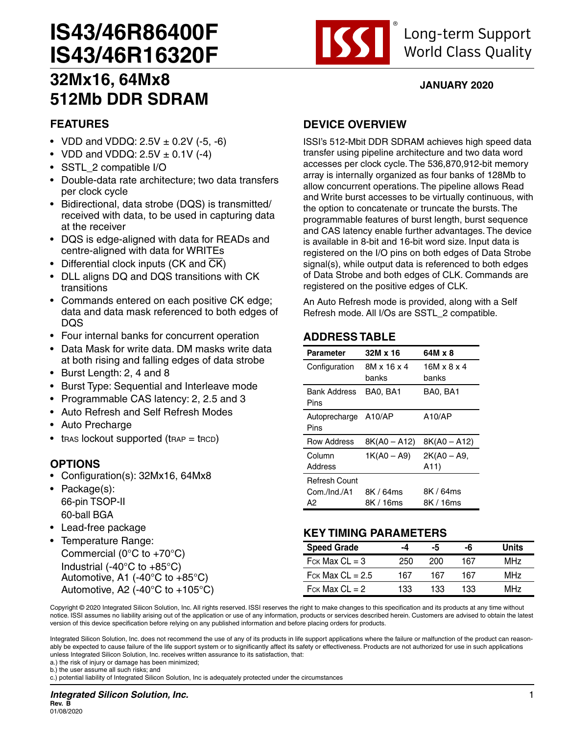# **IS43/46R86400F IS43/46R16320F**



## **JANUARY 2020**

# **32Mx16, 64Mx8 512Mb DDR SDRAM**

# **FEATURES**

- VDD and VDDQ:  $2.5V \pm 0.2V$  (-5, -6)
- VDD and VDDQ:  $2.5V \pm 0.1V$  (-4)
- SSTL\_2 compatible I/O
- Double-data rate architecture; two data transfers per clock cycle
- Bidirectional, data strobe (DQS) is transmitted/ received with data, to be used in capturing data at the receiver
- DQS is edge-aligned with data for READs and centre-aligned with data for WRITEs
- Differential clock inputs  $(CK)$  and  $\overline{CK}$ )
- DLL aligns DQ and DQS transitions with CK transitions
- Commands entered on each positive CK edge; data and data mask referenced to both edges of DQS
- Four internal banks for concurrent operation
- Data Mask for write data. DM masks write data at both rising and falling edges of data strobe
- Burst Length: 2, 4 and 8
- Burst Type: Sequential and Interleave mode
- Programmable CAS latency: 2, 2.5 and 3
- Auto Refresh and Self Refresh Modes
- Auto Precharge
- $t$ RAS lockout supported ( $t$ RAP =  $t$ RCD)

# **OPTIONS**

- Configuration(s): 32Mx16, 64Mx8
- Package(s): 66-pin TSOP-II 60-ball BGA
- Lead-free package
- Temperature Range: Commercial ( $0^{\circ}$ C to +70 $^{\circ}$ C) Industrial (-40°C to +85°C) Automotive, A1 (-40°C to +85°C) Automotive, A2 (-40 $^{\circ}$ C to +105 $^{\circ}$ C)

## **DEVICE OVERVIEW**

ISSI's 512-Mbit DDR SDRAM achieves high speed data transfer using pipeline architecture and two data word accesses per clock cycle. The 536,870,912-bit memory array is internally organized as four banks of 128Mb to allow concurrent operations. The pipeline allows Read and Write burst accesses to be virtually continuous, with the option to concatenate or truncate the bursts. The programmable features of burst length, burst sequence and CAS latency enable further advantages. The device is available in 8-bit and 16-bit word size. Input data is registered on the I/O pins on both edges of Data Strobe signal(s), while output data is referenced to both edges of Data Strobe and both edges of CLK. Commands are registered on the positive edges of CLK.

An Auto Refresh mode is provided, along with a Self Refresh mode. All I/Os are SSTL\_2 compatible.

# **ADDRESS TABLE**

| Parameter            | 32M x 16       | 64M x 8        |
|----------------------|----------------|----------------|
| Configuration        | 8M x 16 x 4    | 16M x 8 x 4    |
|                      | banks          | banks          |
| <b>Bank Address</b>  | BA0, BA1       | BA0, BA1       |
| Pins                 |                |                |
| Autoprecharge        | A10/AP         | A10/AP         |
| Pins                 |                |                |
| <b>Row Address</b>   | $8K(A0 - A12)$ | $8K(A0 - A12)$ |
| Column               | $1K(A0 - A9)$  | 2K(A0 – A9,    |
| Address              |                | A11)           |
| <b>Refresh Count</b> |                |                |
| Com./Ind./A1         | 8K / 64ms      | 8K / 64ms      |
| А2                   | 8K / 16ms      | 8K / 16ms      |

## **KEY TIMING PARAMETERS**

| <b>Speed Grade</b>             | -4  | -5  | -6  | Units           |
|--------------------------------|-----|-----|-----|-----------------|
| $F$ <sub>CK</sub> Max $CL = 3$ | 250 | 200 | 167 | MH <sub>7</sub> |
| Fck Max $CL = 2.5$             | 167 | 167 | 167 | MH <sub>7</sub> |
| $F$ ck Max CL = 2              | 133 | 133 | 133 | MH <sub>7</sub> |

Copyright © 2020 Integrated Silicon Solution, Inc. All rights reserved. ISSI reserves the right to make changes to this specification and its products at any time without notice. ISSI assumes no liability arising out of the application or use of any information, products or services described herein. Customers are advised to obtain the latest version of this device specification before relying on any published information and before placing orders for products.

Integrated Silicon Solution, Inc. does not recommend the use of any of its products in life support applications where the failure or malfunction of the product can reasonably be expected to cause failure of the life support system or to significantly affect its safety or effectiveness. Products are not authorized for use in such applications unless Integrated Silicon Solution, Inc. receives written assurance to its satisfaction, that:

a.) the risk of injury or damage has been minimized; b.) the user assume all such risks; and

c.) potential liability of Integrated Silicon Solution, Inc is adequately protected under the circumstances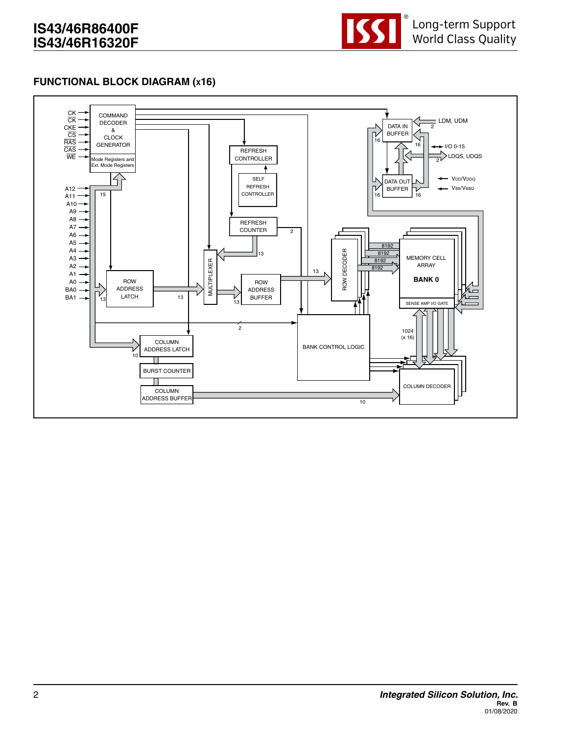

#### **FUNCTIONAL BLOCK DIAGRAM (x16)**

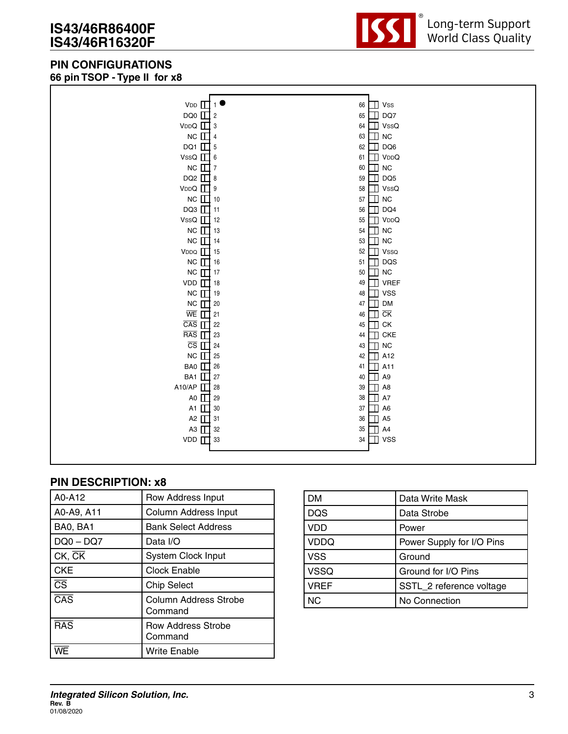# **IS43/46R86400F IS43/46R16320F**

## **PIN CONFIGURATIONS 66 pin TSOP - Type II for x8**



| VDD                               | 66           | $\mathbb{I}$ Vss              |
|-----------------------------------|--------------|-------------------------------|
| DQ0 $\Box$ 2                      | 65           | DQ7<br>H                      |
| $VDDQ \quad \Box$ 3               | 64           | $\mathbb{I}$ VssQ             |
| $NC$ $\Box$ 4                     | 63           | <b>NC</b><br>╖                |
| DQ1 $\Box$ 5                      | 62           | DQ6<br>╖                      |
| VssQ $\Box$ 6                     | 61 $\Box$    | VDDQ                          |
| NC $\Box$ 7                       | 60           | $\Box$ NC                     |
| DQ2 $\Box$ 8                      | 59           | $\Box$ DQ5                    |
| $VDDQ$ $\Box$ 9                   | 58           | $\Box$ VssQ                   |
| $NC$ $\Box$ 10                    | 57           | $\Box$ NC                     |
| DQ3 $\boxed{1}$ 11                | 56           | DQ4<br>Π                      |
| VssQ $\Box$ 12                    | 55           | VDDQ<br>╖                     |
| $NC$ $\Box$ 13                    | 54           | <b>NC</b><br>╖                |
| $NC$ 14                           | 53           | <b>NC</b><br>$\blacksquare$   |
| $VDDQ$ 15                         | 52           | Vsso<br>┐                     |
| $NC$ 16                           | 51           | DQS<br>П                      |
| $NC$ $\prod$ 17                   | 50           | $\Box$ NC                     |
| VDD $\boxed{18}$                  | 49           | $\Box$ VREF                   |
| $NC$ $\Box$ 19                    | 48           | $\Box$ vss                    |
| $NC$ $\Box$ 20                    | 47           | <b>DM</b><br>╖                |
| $\overline{\text{WE}}$ $\prod$ 21 | 46           | $\overline{\text{CK}}$        |
| $\overline{CAS}$ $\prod$ 22       | 45           | CK<br>Ш                       |
| RAS                               | 23<br>44     | <b>CKE</b><br>╖               |
| $\overline{CS}$ $\prod$ 24        | 43           | <b>NC</b>                     |
| $NC$ $\Box$ 25                    | 42           | A12<br>Т                      |
| BA0 1 26                          | 41           | A11<br>Т                      |
| BA1 1 27                          | 40           | A <sub>9</sub><br>П           |
| A10/AP $\square$                  | 28<br>39     | A <sub>8</sub><br>Т           |
| A0 $\Box$                         | 29<br>38     | A7                            |
| A1 $\Box$                         | 30<br>37     | A <sub>6</sub><br>Т           |
| A2 $\boxed{1}$ 31                 | 36           | A <sub>5</sub><br>$\mathbf T$ |
| A3 1 32                           | $35\,$       | A4<br>╖                       |
| VDD <sub>IT</sub>                 | 33<br>$34\,$ | <b>VSS</b><br>╖               |
|                                   |              |                               |

| A0-A12                  | Row Address Input                    |
|-------------------------|--------------------------------------|
| A0-A9, A11              | <b>Column Address Input</b>          |
| BA0, BA1                | <b>Bank Select Address</b>           |
| $DQ0 - DQ7$             | Data I/O                             |
| $CK$ , $CK$             | <b>System Clock Input</b>            |
| <b>CKE</b>              | <b>Clock Enable</b>                  |
| $\overline{\text{CS}}$  | <b>Chip Select</b>                   |
| $\overline{\text{CAS}}$ | Column Address Strobe<br>Command     |
| $\overline{RAS}$        | <b>Row Address Strobe</b><br>Command |
|                         | <b>Write Enable</b>                  |

| DM          | Data Write Mask           |
|-------------|---------------------------|
| <b>DQS</b>  | Data Strobe               |
| <b>VDD</b>  | Power                     |
| <b>VDDQ</b> | Power Supply for I/O Pins |
| <b>VSS</b>  | Ground                    |
| <b>VSSQ</b> | Ground for I/O Pins       |
| <b>VREF</b> | SSTL_2 reference voltage  |
| NC.         | No Connection             |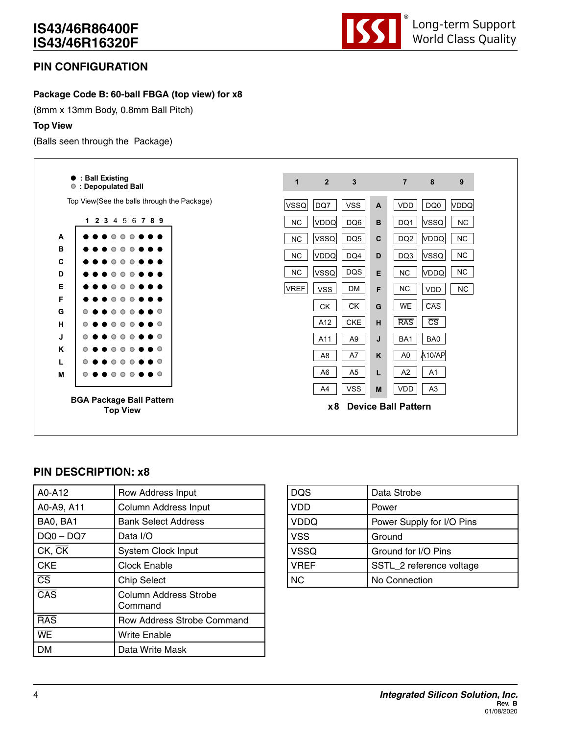

## **PIN CONFIGURATION**

#### **Package Code B: 60-ball FBGA (top view) for x8**

(8mm x 13mm Body, 0.8mm Ball Pitch)

#### **Top View**

(Balls seen through the Package)



| A0-A12                  | Row Address Input                       |
|-------------------------|-----------------------------------------|
| A0-A9, A11              | Column Address Input                    |
| BA0, BA1                | <b>Bank Select Address</b>              |
| $DQ0 - DQ7$             | Data I/O                                |
| $CK$ , $CK$             | <b>System Clock Input</b>               |
| <b>CKE</b>              | <b>Clock Enable</b>                     |
| $\overline{\text{cs}}$  | <b>Chip Select</b>                      |
| $\overline{\text{CAS}}$ | <b>Column Address Strobe</b><br>Command |
| <b>RAS</b>              | Row Address Strobe Command              |
| WE                      | Write Enable                            |
| DМ                      | Data Write Mask                         |

| <b>DQS</b>  | Data Strobe               |
|-------------|---------------------------|
| <b>VDD</b>  | Power                     |
| <b>VDDQ</b> | Power Supply for I/O Pins |
| <b>VSS</b>  | Ground                    |
| <b>VSSQ</b> | Ground for I/O Pins       |
| <b>VREF</b> | SSTL_2 reference voltage  |
| <b>NC</b>   | No Connection             |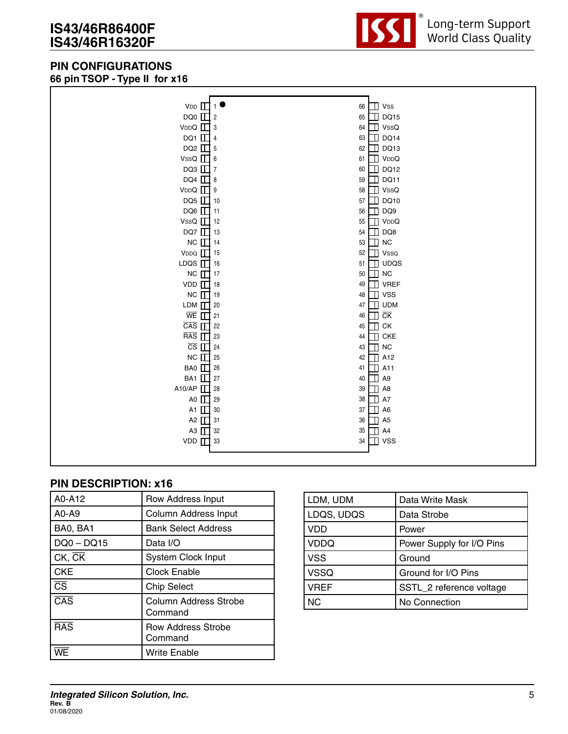## **PIN CONFIGURATIONS 66 pin TSOP - Type II for x16**



| $VDD$ $\prod$ 1                      | 66 | $\Box$ Vss |                  |
|--------------------------------------|----|------------|------------------|
| $DQ0$ $\Box$ 2                       | 65 |            | <b>DQ15</b>      |
| $VDDQ \quad \Box$ 3                  | 64 |            | $\mathbb T$ VssQ |
| DQ1 $\Box$ 4                         | 63 |            | <b>DQ14</b>      |
| DQ2 $\Box$ 5                         | 62 |            | DQ13             |
| VssQ $\Box$ 6                        | 61 |            | VDDQ             |
| DQ3 $\Box$ 7                         | 60 | Ш          | <b>DQ12</b>      |
| DQ4 $\Box$ 8                         | 59 | П          | DQ11             |
| $VDDQ \quad \Box$ 9                  | 58 |            | VssQ             |
| DQ5 $\Box$ 10                        | 57 |            | <b>DQ10</b>      |
| DQ6 $\Box$ 11                        | 56 |            | DQ9              |
| VssQ $\prod$ 12                      | 55 |            | VDDQ             |
| DQ7 $\prod$ 13                       | 54 |            | DQ8              |
| $NC$ $\Box$ 14                       | 53 |            | ${\sf NC}$       |
| $VDDQ$ 15                            | 52 |            | Vssq             |
| LDQS $\boxed{1}$ 16                  | 51 |            | <b>UDQS</b>      |
| $NC$ 17                              | 50 | Ш          | <b>NC</b>        |
| $VDD$ $\prod$ 18                     | 49 |            | <b>VREF</b>      |
| $NC$ 19                              | 48 |            | $\mathbb{I}$ vss |
| LDM $\boxed{1}$ 20                   | 47 |            | <b>UDM</b>       |
| $\overline{\text{WE}}$ $\prod$ 21    | 46 | $\Box$ CK  |                  |
| $\overline{CAS}$ $\prod$ 22          | 45 | $\Box$ ск  |                  |
| $RAS$ $\Box$ 23                      | 44 | Ш          | <b>CKE</b>       |
| $\overline{CS}$ $\overline{\Box}$ 24 | 43 | m          | <b>NC</b>        |
| NC $\Box$ 25                         | 42 |            | A12              |
| BA0 1 26                             | 41 |            | A11              |
| BA1 27                               | 40 |            | A <sub>9</sub>   |
| A10/AP 13                            | 39 |            | A <sub>8</sub>   |
| A0 1 29                              | 38 |            | A7               |
| A1 1 30                              | 37 | Ш          | A <sub>6</sub>   |
| A2 1 31                              | 36 | Ш          | A <sub>5</sub>   |
| A3 1 32                              | 35 | П          | A4               |
| $VDD$ $\prod$ 33                     | 34 | П          | <b>VSS</b>       |
|                                      |    |            |                  |

| A0-A12                  | Row Address Input                    |
|-------------------------|--------------------------------------|
| A0-A9                   | <b>Column Address Input</b>          |
| BA0, BA1                | <b>Bank Select Address</b>           |
| $DQ0 - DQ15$            | Data I/O                             |
| $ CK, \overline{CK} $   | <b>System Clock Input</b>            |
| CKE                     | <b>Clock Enable</b>                  |
| $\overline{\text{cs}}$  | <b>Chip Select</b>                   |
| $\overline{\text{CAS}}$ | Column Address Strobe<br>Command     |
| $\overline{RAS}$        | <b>Row Address Strobe</b><br>Command |
|                         | Write Enable                         |

| LDM, UDM    | Data Write Mask           |
|-------------|---------------------------|
| LDQS, UDQS  | Data Strobe               |
| VDD         | Power                     |
| <b>VDDQ</b> | Power Supply for I/O Pins |
| <b>VSS</b>  | Ground                    |
| <b>VSSQ</b> | Ground for I/O Pins       |
| <b>VREF</b> | SSTL_2 reference voltage  |
| <b>NC</b>   | No Connection             |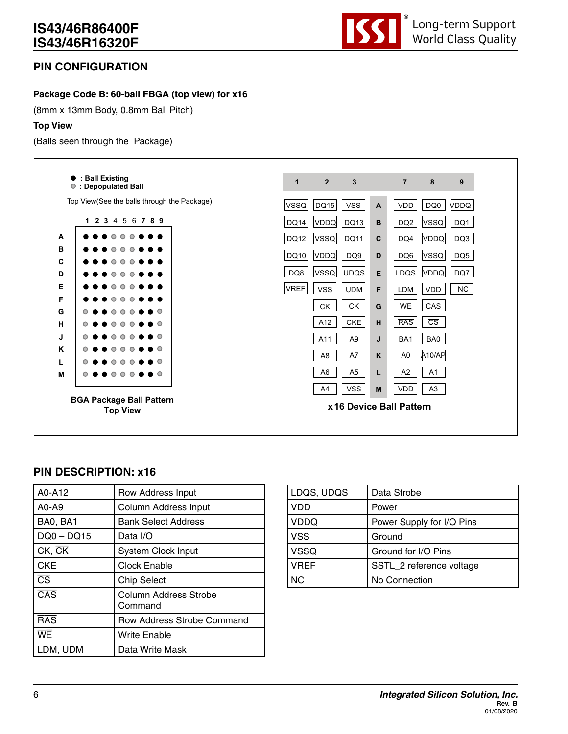

## **PIN CONFIGURATION**

#### **Package Code B: 60-ball FBGA (top view) for x16**

(8mm x 13mm Body, 0.8mm Ball Pitch)

#### **Top View**

(Balls seen through the Package)



| A0-A12                  | Row Address Input                       |
|-------------------------|-----------------------------------------|
| $AO-AO$                 | Column Address Input                    |
| BA0, BA1                | <b>Bank Select Address</b>              |
| $DQ0 - DQ15$            | Data I/O                                |
| $CK$ , $CK$             | <b>System Clock Input</b>               |
| <b>CKE</b>              | <b>Clock Enable</b>                     |
| $\overline{\text{CS}}$  | <b>Chip Select</b>                      |
| $\overline{\text{CAS}}$ | <b>Column Address Strobe</b><br>Command |
| <b>RAS</b>              | Row Address Strobe Command              |
| WE                      | Write Enable                            |
| LDM, UDM                | Data Write Mask                         |

| LDQS, UDQS  | Data Strobe               |
|-------------|---------------------------|
| VDD         | Power                     |
| <b>VDDQ</b> | Power Supply for I/O Pins |
| <b>VSS</b>  | Ground                    |
| <b>VSSQ</b> | Ground for I/O Pins       |
| <b>VREF</b> | SSTL_2 reference voltage  |
| <b>NC</b>   | No Connection             |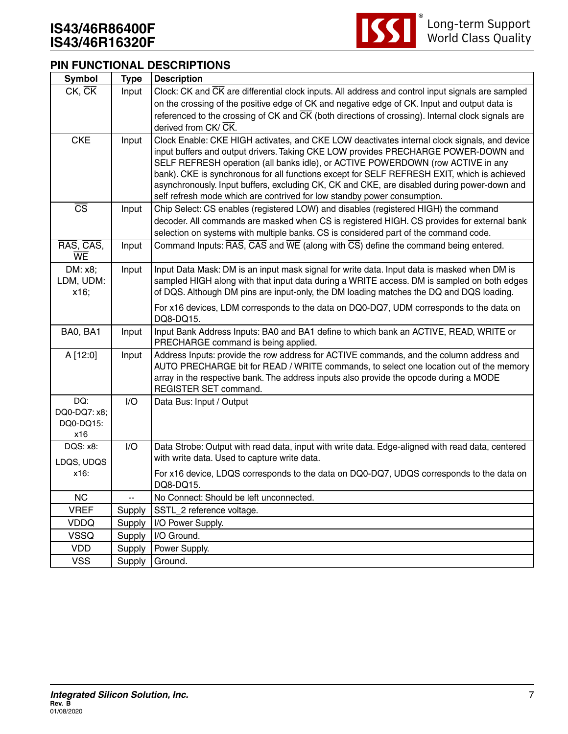

#### **PIN FUNCTIONAL DESCRIPTIONS**

| <b>Symbol</b>                           | <b>Type</b> | <b>Description</b>                                                                                                                                                                                                                                                                                                                                                                                                                                                                                                                              |
|-----------------------------------------|-------------|-------------------------------------------------------------------------------------------------------------------------------------------------------------------------------------------------------------------------------------------------------------------------------------------------------------------------------------------------------------------------------------------------------------------------------------------------------------------------------------------------------------------------------------------------|
| CK, CK                                  | Input       | Clock: CK and CK are differential clock inputs. All address and control input signals are sampled                                                                                                                                                                                                                                                                                                                                                                                                                                               |
|                                         |             | on the crossing of the positive edge of CK and negative edge of CK. Input and output data is                                                                                                                                                                                                                                                                                                                                                                                                                                                    |
|                                         |             | referenced to the crossing of CK and $\overline{CK}$ (both directions of crossing). Internal clock signals are                                                                                                                                                                                                                                                                                                                                                                                                                                  |
|                                         |             | derived from CK/CK.                                                                                                                                                                                                                                                                                                                                                                                                                                                                                                                             |
| <b>CKE</b>                              | Input       | Clock Enable: CKE HIGH activates, and CKE LOW deactivates internal clock signals, and device<br>input buffers and output drivers. Taking CKE LOW provides PRECHARGE POWER-DOWN and<br>SELF REFRESH operation (all banks idle), or ACTIVE POWERDOWN (row ACTIVE in any<br>bank). CKE is synchronous for all functions except for SELF REFRESH EXIT, which is achieved<br>asynchronously. Input buffers, excluding CK, CK and CKE, are disabled during power-down and<br>self refresh mode which are contrived for low standby power consumption. |
| $\overline{\text{CS}}$                  | Input       | Chip Select: CS enables (registered LOW) and disables (registered HIGH) the command<br>decoder. All commands are masked when CS is registered HIGH. CS provides for external bank<br>selection on systems with multiple banks. CS is considered part of the command code.                                                                                                                                                                                                                                                                       |
| RAS, CAS,<br>WE                         | Input       | Command Inputs: $\overline{RAS}$ , $\overline{CAS}$ and $\overline{WE}$ (along with $\overline{CS}$ ) define the command being entered.                                                                                                                                                                                                                                                                                                                                                                                                         |
| DM: x8;<br>LDM, UDM:<br>x16;            | Input       | Input Data Mask: DM is an input mask signal for write data. Input data is masked when DM is<br>sampled HIGH along with that input data during a WRITE access. DM is sampled on both edges<br>of DQS. Although DM pins are input-only, the DM loading matches the DQ and DQS loading.                                                                                                                                                                                                                                                            |
|                                         |             | For x16 devices, LDM corresponds to the data on DQ0-DQ7, UDM corresponds to the data on<br>DQ8-DQ15.                                                                                                                                                                                                                                                                                                                                                                                                                                            |
| BA0, BA1                                | Input       | Input Bank Address Inputs: BA0 and BA1 define to which bank an ACTIVE, READ, WRITE or<br>PRECHARGE command is being applied.                                                                                                                                                                                                                                                                                                                                                                                                                    |
| A [12:0]                                | Input       | Address Inputs: provide the row address for ACTIVE commands, and the column address and<br>AUTO PRECHARGE bit for READ / WRITE commands, to select one location out of the memory<br>array in the respective bank. The address inputs also provide the opcode during a MODE<br>REGISTER SET command.                                                                                                                                                                                                                                            |
| DQ:<br>DQ0-DQ7: x8;<br>DQ0-DQ15:<br>x16 | I/O         | Data Bus: Input / Output                                                                                                                                                                                                                                                                                                                                                                                                                                                                                                                        |
| DQS: x8:                                | I/O         | Data Strobe: Output with read data, input with write data. Edge-aligned with read data, centered<br>with write data. Used to capture write data.                                                                                                                                                                                                                                                                                                                                                                                                |
| LDQS, UDQS<br>x16:                      |             | For x16 device, LDQS corresponds to the data on DQ0-DQ7, UDQS corresponds to the data on<br>DQ8-DQ15.                                                                                                                                                                                                                                                                                                                                                                                                                                           |
| <b>NC</b>                               | щ,          | No Connect: Should be left unconnected.                                                                                                                                                                                                                                                                                                                                                                                                                                                                                                         |
| <b>VREF</b>                             | Supply      | SSTL_2 reference voltage.                                                                                                                                                                                                                                                                                                                                                                                                                                                                                                                       |
| <b>VDDQ</b>                             | Supply      | I/O Power Supply.                                                                                                                                                                                                                                                                                                                                                                                                                                                                                                                               |
| <b>VSSQ</b>                             | Supply      | I/O Ground.                                                                                                                                                                                                                                                                                                                                                                                                                                                                                                                                     |
| VDD                                     | Supply      | Power Supply.                                                                                                                                                                                                                                                                                                                                                                                                                                                                                                                                   |
| <b>VSS</b>                              | Supply      | Ground.                                                                                                                                                                                                                                                                                                                                                                                                                                                                                                                                         |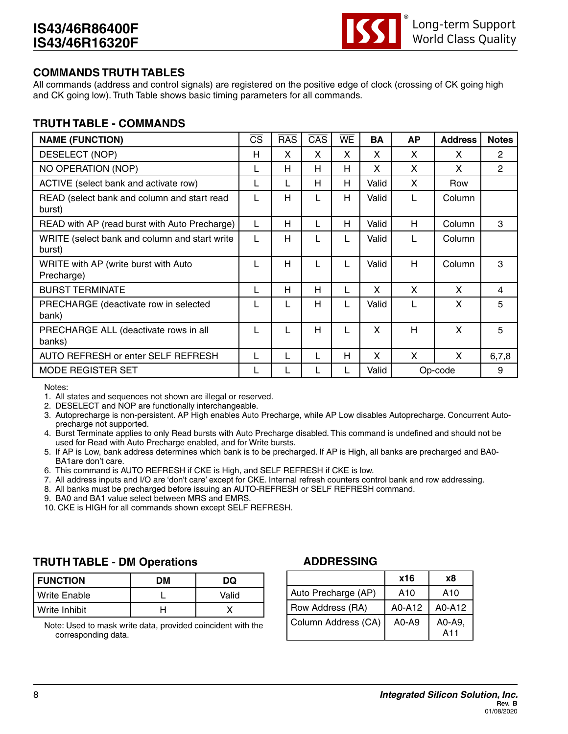

#### **COMMANDS TRUTH TABLES**

All commands (address and control signals) are registered on the positive edge of clock (crossing of CK going high and CK going low). Truth Table shows basic timing parameters for all commands.

#### **TRUTH TABLE - COMMANDS**

| <b>NAME (FUNCTION)</b>                                  | $\overline{\text{CS}}$ | <b>RAS</b> | $\overline{CAS}$ | WE | <b>BA</b> | <b>AP</b> | <b>Address</b> | <b>Notes</b> |
|---------------------------------------------------------|------------------------|------------|------------------|----|-----------|-----------|----------------|--------------|
| DESELECT (NOP)                                          | H                      | X          | X                | X  | X         | X         | X              | 2            |
| <b>NO OPERATION (NOP)</b>                               | L                      | н          | H                | H  | X         | X         | X              | 2            |
| ACTIVE (select bank and activate row)                   | L                      |            | H                | H  | Valid     | X         | Row            |              |
| READ (select bank and column and start read<br>burst)   | L                      | Н          |                  | H  | Valid     |           | Column         |              |
| READ with AP (read burst with Auto Precharge)           | L                      | н          | L                | H  | Valid     | H         | Column         | 3            |
| WRITE (select bank and column and start write<br>burst) | L                      | н          |                  | L  | Valid     |           | Column         |              |
| WRITE with AP (write burst with Auto<br>Precharge)      | L                      | Н          |                  | L  | Valid     | н         | Column         | 3            |
| <b>BURST TERMINATE</b>                                  | L                      | Н          | H                | L  | X         | X         | X              | 4            |
| PRECHARGE (deactivate row in selected<br>bank)          | L                      |            | H                | L  | Valid     |           | X              | 5            |
| PRECHARGE ALL (deactivate rows in all<br>banks)         | L                      |            | H                | L  | X         | Н         | X              | 5            |
| AUTO REFRESH or enter SELF REFRESH                      | L                      |            |                  | H  | X         | X         | X              | 6,7,8        |
| <b>MODE REGISTER SET</b>                                |                        |            |                  |    | Valid     |           | Op-code        | 9            |

Notes:

1. All states and sequences not shown are illegal or reserved.

2. DESELECT and NOP are functionally interchangeable.

- 3. Autoprecharge is non-persistent. AP High enables Auto Precharge, while AP Low disables Autoprecharge. Concurrent Autoprecharge not supported.
- 4. Burst Terminate applies to only Read bursts with Auto Precharge disabled. This command is undefined and should not be used for Read with Auto Precharge enabled, and for Write bursts.
- 5. If AP is Low, bank address determines which bank is to be precharged. If AP is High, all banks are precharged and BA0- BA1are don't care.
- 6. This command is AUTO REFRESH if CKE is High, and SELF REFRESH if CKE is low.
- 7. All address inputs and I/O are 'don't care' except for CKE. Internal refresh counters control bank and row addressing.
- 8. All banks must be precharged before issuing an AUTO-REFRESH or SELF REFRESH command.
- 9. BA0 and BA1 value select between MRS and EMRS.
- 10. CKE is HIGH for all commands shown except SELF REFRESH.

#### **TRUTH TABLE - DM Operations**

| <b>FUNCTION</b> | DМ | DQ    |
|-----------------|----|-------|
| l Write Enable  |    | Valid |
| Write Inhibit   |    |       |

Note: Used to mask write data, provided coincident with the corresponding data.

#### **ADDRESSING**

|                     | x16       | х8            |
|---------------------|-----------|---------------|
| Auto Precharge (AP) | A10       | A10           |
| Row Address (RA)    | A0-A12    | A0-A12        |
| Column Address (CA) | $A0 - A9$ | A0-A9,<br>A11 |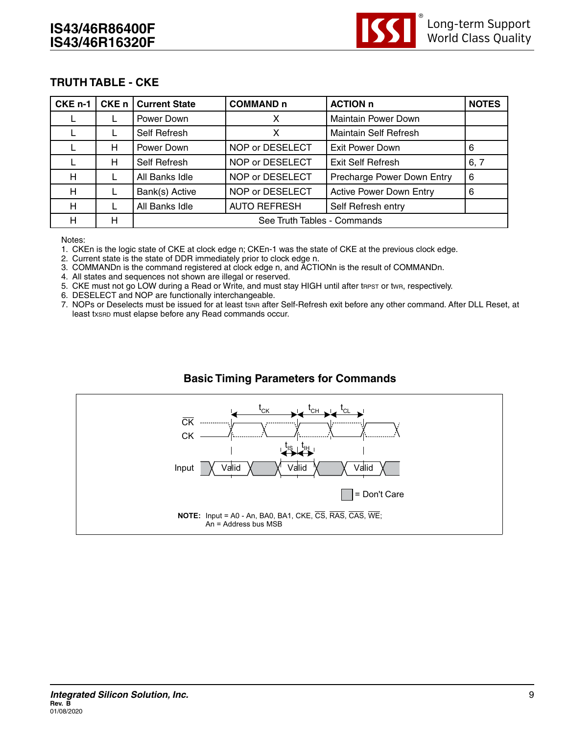

## **TRUTH TABLE - CKE**

| CKE <sub>n-1</sub> | CKE n l | <b>Current State</b> | <b>COMMAND n</b>            | <b>ACTION n</b>                | <b>NOTES</b> |  |
|--------------------|---------|----------------------|-----------------------------|--------------------------------|--------------|--|
|                    |         | Power Down           |                             | <b>Maintain Power Down</b>     |              |  |
|                    |         | Self Refresh         | X                           | <b>Maintain Self Refresh</b>   |              |  |
|                    | н       | Power Down           | NOP or DESELECT             | Exit Power Down                | 6            |  |
|                    | н       | Self Refresh         | NOP or DESELECT             | <b>Exit Self Refresh</b>       | 6, 7         |  |
| н                  |         | All Banks Idle       | NOP or DESELECT             | Precharge Power Down Entry     | 6            |  |
| н                  |         | Bank(s) Active       | NOP or DESELECT             | <b>Active Power Down Entry</b> | 6            |  |
| н                  |         | All Banks Idle       | <b>AUTO REFRESH</b>         | Self Refresh entry             |              |  |
| н                  | Н       |                      | See Truth Tables - Commands |                                |              |  |

Notes:

1. CKEn is the logic state of CKE at clock edge n; CKEn-1 was the state of CKE at the previous clock edge.

2. Current state is the state of DDR immediately prior to clock edge n.

3. COMMANDn is the command registered at clock edge n, and ACTIONn is the result of COMMANDn.

4. All states and sequences not shown are illegal or reserved.

5. CKE must not go LOW during a Read or Write, and must stay HIGH until after tapst or twa, respectively.

6. DESELECT and NOP are functionally interchangeable.

7. NOPs or Deselects must be issued for at least tsnr after Self-Refresh exit before any other command. After DLL Reset, at least txsRD must elapse before any Read commands occur.

## **Basic Timing Parameters for Commands**

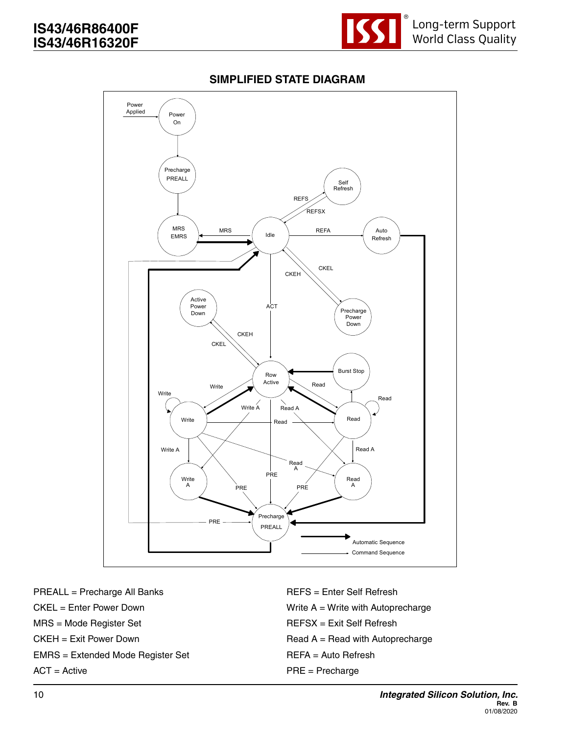

## **SIMPLIFIED STATE DIAGRAM**



PREALL = Precharge All Banks CKEL = Enter Power Down MRS = Mode Register Set CKEH = Exit Power Down EMRS = Extended Mode Register Set ACT = Active

REFS = Enter Self Refresh Write A = Write with Autoprecharge REFSX = Exit Self Refresh  $Read A = Read with Autoprecharge$ REFA = Auto Refresh PRE = Precharge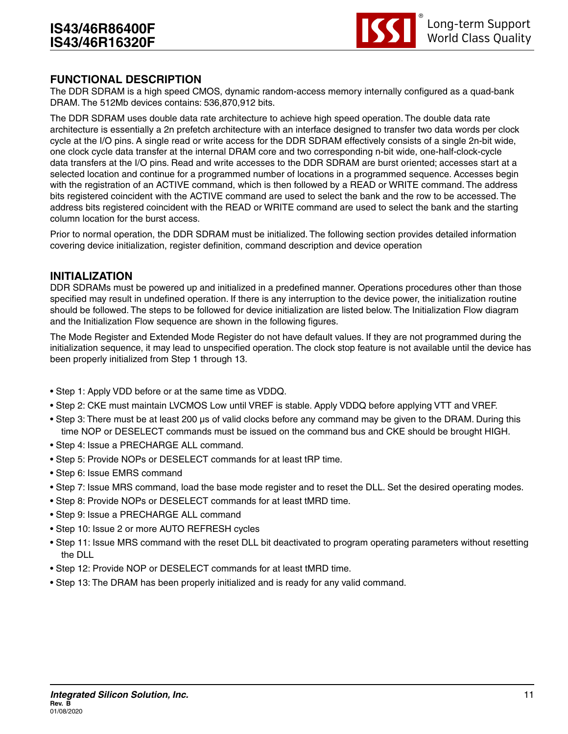

#### **FUNCTIONAL DESCRIPTION**

The DDR SDRAM is a high speed CMOS, dynamic random-access memory internally configured as a quad-bank DRAM. The 512Mb devices contains: 536,870,912 bits.

The DDR SDRAM uses double data rate architecture to achieve high speed operation. The double data rate architecture is essentially a 2n prefetch architecture with an interface designed to transfer two data words per clock cycle at the I/O pins. A single read or write access for the DDR SDRAM effectively consists of a single 2n-bit wide, one clock cycle data transfer at the internal DRAM core and two corresponding n-bit wide, one-half-clock-cycle data transfers at the I/O pins. Read and write accesses to the DDR SDRAM are burst oriented; accesses start at a selected location and continue for a programmed number of locations in a programmed sequence. Accesses begin with the registration of an ACTIVE command, which is then followed by a READ or WRITE command. The address bits registered coincident with the ACTIVE command are used to select the bank and the row to be accessed. The address bits registered coincident with the READ or WRITE command are used to select the bank and the starting column location for the burst access.

Prior to normal operation, the DDR SDRAM must be initialized. The following section provides detailed information covering device initialization, register definition, command description and device operation

#### **INITIALIZATION**

DDR SDRAMs must be powered up and initialized in a predefined manner. Operations procedures other than those specified may result in undefined operation. If there is any interruption to the device power, the initialization routine should be followed. The steps to be followed for device initialization are listed below. The Initialization Flow diagram and the Initialization Flow sequence are shown in the following figures.

The Mode Register and Extended Mode Register do not have default values. If they are not programmed during the initialization sequence, it may lead to unspecified operation. The clock stop feature is not available until the device has been properly initialized from Step 1 through 13.

- Step 1: Apply VDD before or at the same time as VDDQ.
- Step 2: CKE must maintain LVCMOS Low until VREF is stable. Apply VDDQ before applying VTT and VREF.
- Step 3: There must be at least 200 μs of valid clocks before any command may be given to the DRAM. During this time NOP or DESELECT commands must be issued on the command bus and CKE should be brought HIGH.
- Step 4: Issue a PRECHARGE ALL command.
- Step 5: Provide NOPs or DESELECT commands for at least tRP time.
- Step 6: Issue EMRS command
- Step 7: Issue MRS command, load the base mode register and to reset the DLL. Set the desired operating modes.
- Step 8: Provide NOPs or DESELECT commands for at least tMRD time.
- Step 9: Issue a PRECHARGE ALL command
- Step 10: Issue 2 or more AUTO REFRESH cycles
- Step 11: Issue MRS command with the reset DLL bit deactivated to program operating parameters without resetting the DLL
- Step 12: Provide NOP or DESELECT commands for at least tMRD time.
- Step 13: The DRAM has been properly initialized and is ready for any valid command.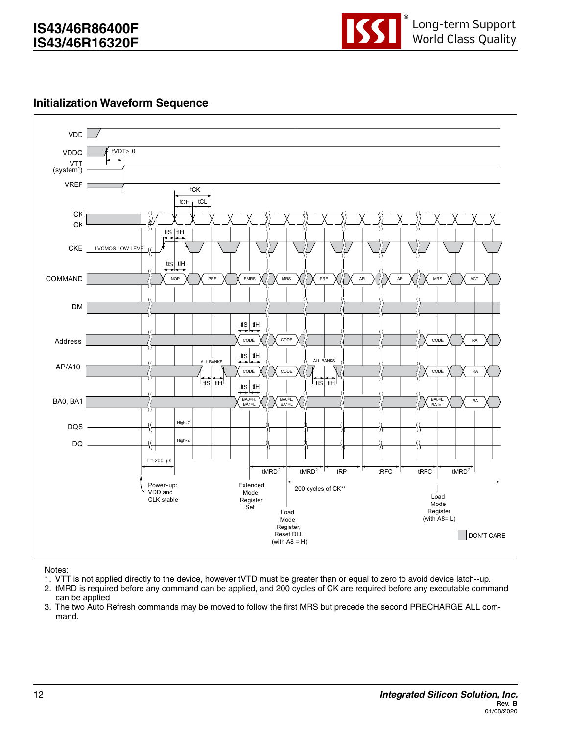

#### **Initialization Waveform Sequence**



Notes:

- 1. VTT is not applied directly to the device, however tVTD must be greater than or equal to zero to avoid device latch--up.
- 2. tMRD is required before any command can be applied, and 200 cycles of CK are required before any executable command can be applied
- 3. The two Auto Refresh commands may be moved to follow the first MRS but precede the second PRECHARGE ALL command.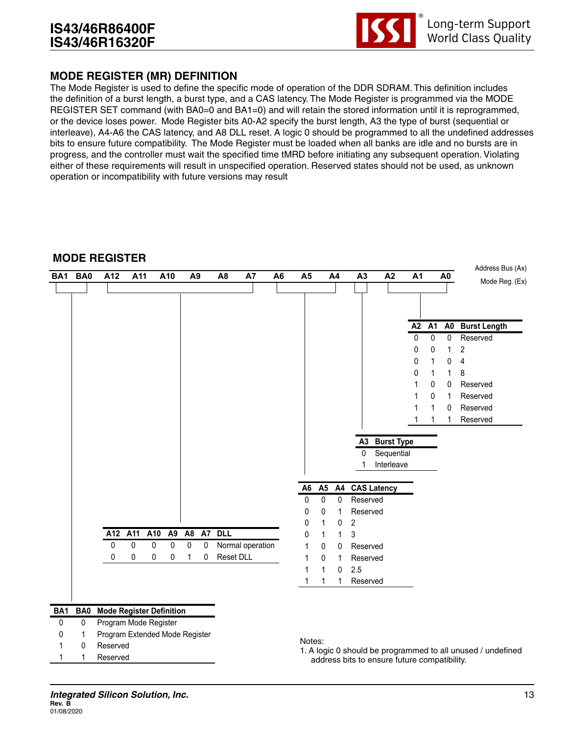

## **MODE REGISTER (MR) DEFINITION**

The Mode Register is used to define the specific mode of operation of the DDR SDRAM. This definition includes the definition of a burst length, a burst type, and a CAS latency. The Mode Register is programmed via the MODE REGISTER SET command (with BA0=0 and BA1=0) and will retain the stored information until it is reprogrammed, or the device loses power. Mode Register bits A0-A2 specify the burst length, A3 the type of burst (sequential or interleave), A4-A6 the CAS latency, and A8 DLL reset. A logic 0 should be programmed to all the undefined addresses bits to ensure future compatibility. The Mode Register must be loaded when all banks are idle and no bursts are in progress, and the controller must wait the specified time tMRD before initiating any subsequent operation. Violating either of these requirements will result in unspecified operation. Reserved states should not be used, as unknown operation or incompatibility with future versions may result

#### **MODE REGISTER**

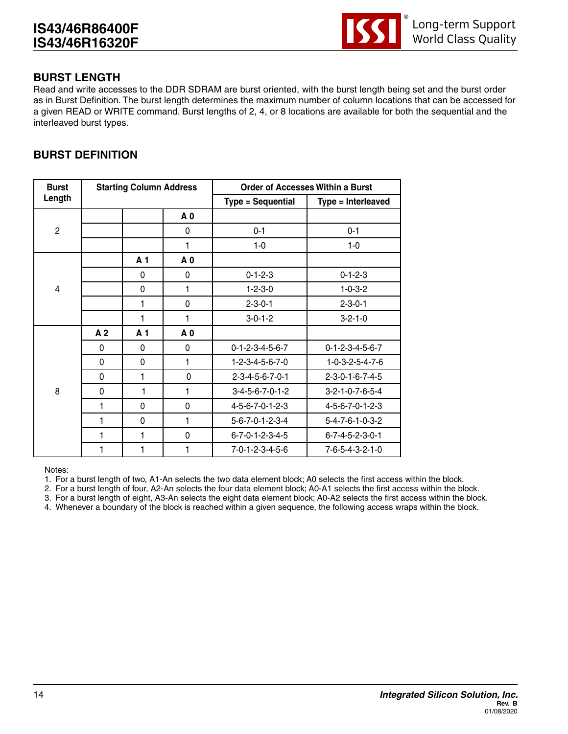

## **BURST LENGTH**

Read and write accesses to the DDR SDRAM are burst oriented, with the burst length being set and the burst order as in Burst Definition. The burst length determines the maximum number of column locations that can be accessed for a given READ or WRITE command. Burst lengths of 2, 4, or 8 locations are available for both the sequential and the interleaved burst types.

# **BURST DEFINITION**

| <b>Burst</b>   | <b>Starting Column Address</b> |                |                | <b>Order of Accesses Within a Burst</b> |                                 |  |
|----------------|--------------------------------|----------------|----------------|-----------------------------------------|---------------------------------|--|
| Length         |                                |                |                | <b>Type = Sequential</b>                | Type = Interleaved              |  |
|                |                                |                | A 0            |                                         |                                 |  |
| 2              |                                |                | 0              | $0 - 1$                                 | $0 - 1$                         |  |
|                |                                |                | 1              | $1-0$                                   | $1 - 0$                         |  |
|                |                                | A <sub>1</sub> | A 0            |                                         |                                 |  |
|                |                                | 0              | 0              | $0 - 1 - 2 - 3$                         | $0 - 1 - 2 - 3$                 |  |
| $\overline{4}$ |                                | 0              | 1              | $1 - 2 - 3 - 0$                         | $1 - 0 - 3 - 2$                 |  |
|                |                                | 1              | 0              | $2 - 3 - 0 - 1$                         | $2 - 3 - 0 - 1$                 |  |
|                |                                | 1              | 1              | $3-0-1-2$                               | $3 - 2 - 1 - 0$                 |  |
|                | A <sub>2</sub>                 | A <sub>1</sub> | A <sub>0</sub> |                                         |                                 |  |
|                | $\Omega$                       | $\Omega$       | 0              | $0 - 1 - 2 - 3 - 4 - 5 - 6 - 7$         | $0 - 1 - 2 - 3 - 4 - 5 - 6 - 7$ |  |
|                | 0                              | $\mathbf{0}$   | 1              | 1-2-3-4-5-6-7-0                         | $1 - 0 - 3 - 2 - 5 - 4 - 7 - 6$ |  |
|                | 0                              | 1              | 0              | $2 - 3 - 4 - 5 - 6 - 7 - 0 - 1$         | 2-3-0-1-6-7-4-5                 |  |
| 8              | 0                              | 1              | 1              | $3-4-5-6-7-0-1-2$                       | 3-2-1-0-7-6-5-4                 |  |
|                | 1                              | $\mathbf 0$    | $\mathbf 0$    | 4-5-6-7-0-1-2-3                         | 4-5-6-7-0-1-2-3                 |  |
|                | 1                              | $\Omega$       | 1              | $5 - 6 - 7 - 0 - 1 - 2 - 3 - 4$         | $5 - 4 - 7 - 6 - 1 - 0 - 3 - 2$ |  |
|                | 1                              | 1              | $\mathbf 0$    | $6 - 7 - 0 - 1 - 2 - 3 - 4 - 5$         | $6 - 7 - 4 - 5 - 2 - 3 - 0 - 1$ |  |
|                | 1                              | 1              | 1              | 7-0-1-2-3-4-5-6                         | 7-6-5-4-3-2-1-0                 |  |

Notes:

1. For a burst length of two, A1-An selects the two data element block; A0 selects the first access within the block.

2. For a burst length of four, A2-An selects the four data element block; A0-A1 selects the first access within the block.

3. For a burst length of eight, A3-An selects the eight data element block; A0-A2 selects the first access within the block.

4. Whenever a boundary of the block is reached within a given sequence, the following access wraps within the block.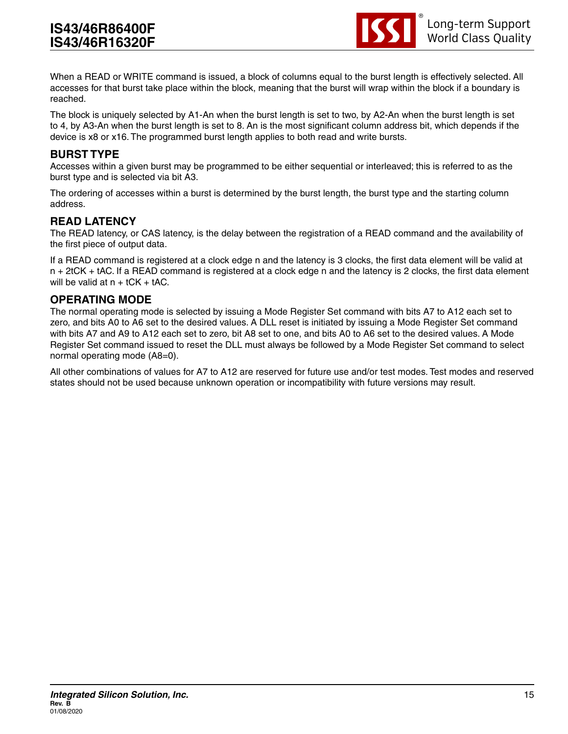

When a READ or WRITE command is issued, a block of columns equal to the burst length is effectively selected. All accesses for that burst take place within the block, meaning that the burst will wrap within the block if a boundary is reached.

The block is uniquely selected by A1-An when the burst length is set to two, by A2-An when the burst length is set to 4, by A3-An when the burst length is set to 8. An is the most significant column address bit, which depends if the device is x8 or x16. The programmed burst length applies to both read and write bursts.

#### **BURST TYPE**

Accesses within a given burst may be programmed to be either sequential or interleaved; this is referred to as the burst type and is selected via bit A3.

The ordering of accesses within a burst is determined by the burst length, the burst type and the starting column address.

#### **READ LATENCY**

The READ latency, or CAS latency, is the delay between the registration of a READ command and the availability of the first piece of output data.

If a READ command is registered at a clock edge n and the latency is 3 clocks, the first data element will be valid at n + 2tCK + tAC. If a READ command is registered at a clock edge n and the latency is 2 clocks, the first data element will be valid at  $n + tCK + tAC$ .

#### **OPERATING MODE**

The normal operating mode is selected by issuing a Mode Register Set command with bits A7 to A12 each set to zero, and bits A0 to A6 set to the desired values. A DLL reset is initiated by issuing a Mode Register Set command with bits A7 and A9 to A12 each set to zero, bit A8 set to one, and bits A0 to A6 set to the desired values. A Mode Register Set command issued to reset the DLL must always be followed by a Mode Register Set command to select normal operating mode (A8=0).

All other combinations of values for A7 to A12 are reserved for future use and/or test modes. Test modes and reserved states should not be used because unknown operation or incompatibility with future versions may result.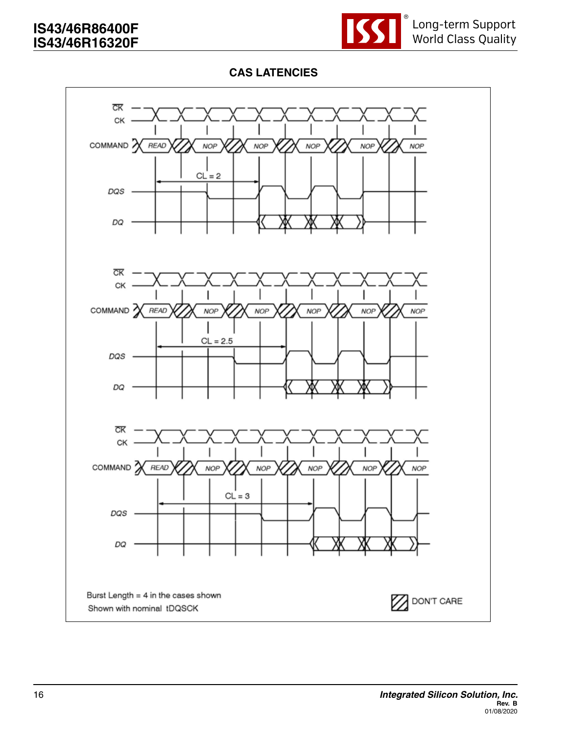

## **CAS LATENCIES**

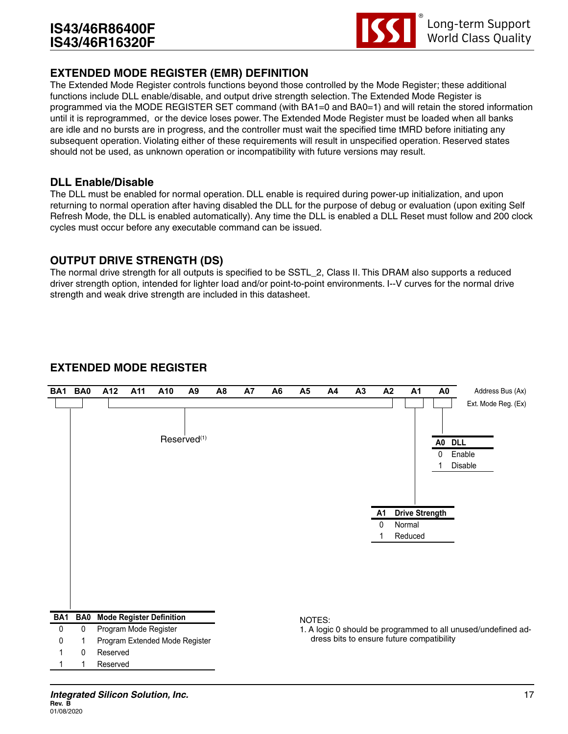

## **EXTENDED MODE REGISTER (EMR) DEFINITION**

The Extended Mode Register controls functions beyond those controlled by the Mode Register; these additional functions include DLL enable/disable, and output drive strength selection. The Extended Mode Register is programmed via the MODE REGISTER SET command (with BA1=0 and BA0=1) and will retain the stored information until it is reprogrammed, or the device loses power. The Extended Mode Register must be loaded when all banks are idle and no bursts are in progress, and the controller must wait the specified time tMRD before initiating any subsequent operation. Violating either of these requirements will result in unspecified operation. Reserved states should not be used, as unknown operation or incompatibility with future versions may result.

#### **DLL Enable/Disable**

The DLL must be enabled for normal operation. DLL enable is required during power-up initialization, and upon returning to normal operation after having disabled the DLL for the purpose of debug or evaluation (upon exiting Self Refresh Mode, the DLL is enabled automatically). Any time the DLL is enabled a DLL Reset must follow and 200 clock cycles must occur before any executable command can be issued.

#### **OUTPUT DRIVE STRENGTH (DS)**

The normal drive strength for all outputs is specified to be SSTL\_2, Class II. This DRAM also supports a reduced driver strength option, intended for lighter load and/or point-to-point environments. I--V curves for the normal drive strength and weak drive strength are included in this datasheet.

## **EXTENDED MODE REGISTER**

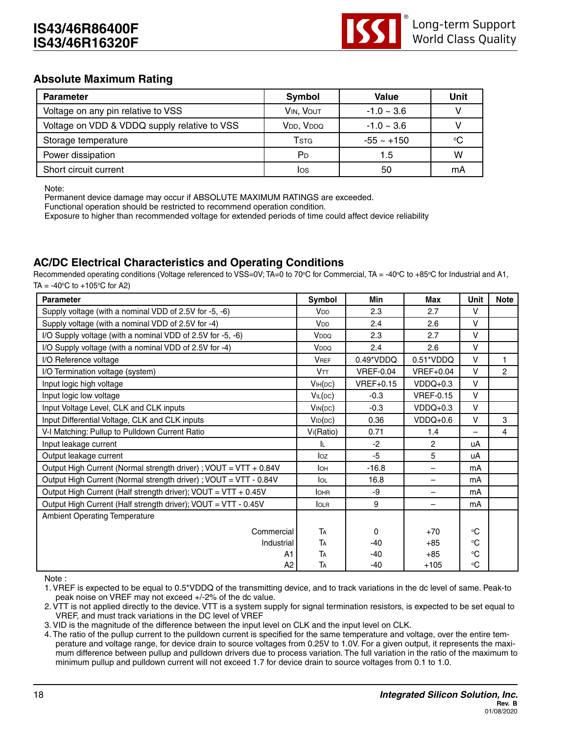

#### **Absolute Maximum Rating**

| <b>Parameter</b>                             | Symbol                             | <b>Value</b>    | Unit |
|----------------------------------------------|------------------------------------|-----------------|------|
| Voltage on any pin relative to VSS           | VIN, VOUT                          | $-1.0 \sim 3.6$ |      |
| Voltage on VDD & VDDQ supply relative to VSS | V <sub>DD</sub> , V <sub>DDQ</sub> | $-1.0 \sim 3.6$ |      |
| Storage temperature                          | <b>T</b> stg                       | $-55 \sim +150$ | ℃    |
| Power dissipation                            | P <sub>D</sub>                     | 1.5             | w    |
| Short circuit current                        | los                                | 50              | mA   |

Note:

Permanent device damage may occur if ABSOLUTE MAXIMUM RATINGS are exceeded.

Functional operation should be restricted to recommend operation condition.

Exposure to higher than recommended voltage for extended periods of time could affect device reliability

## **AC/DC Electrical Characteristics and Operating Conditions**

Recommended operating conditions (Voltage referenced to VSS=0V; TA=0 to 70°C for Commercial, TA = -40°C to +85°C for Industrial and A1, TA =  $-40^{\circ}$ C to  $+105^{\circ}$ C for A2)

| <b>Parameter</b>                                                  | Symbol                 | Min              | Max                      | Unit                     | <b>Note</b>    |
|-------------------------------------------------------------------|------------------------|------------------|--------------------------|--------------------------|----------------|
| Supply voltage (with a nominal VDD of 2.5V for -5, -6)            | <b>V<sub>DD</sub></b>  | 2.3              | 2.7                      | V                        |                |
| Supply voltage (with a nominal VDD of 2.5V for -4)                | <b>V<sub>DD</sub></b>  | 2.4              | 2.6                      | $\vee$                   |                |
| I/O Supply voltage (with a nominal VDD of 2.5V for -5, -6)        | V <sub>DDQ</sub>       | 2.3              | 2.7                      | $\vee$                   |                |
| I/O Supply voltage (with a nominal VDD of 2.5V for -4)            | V <sub>DDQ</sub>       | 2.4              | 2.6                      | $\vee$                   |                |
| I/O Reference voltage                                             | <b>VREF</b>            | 0.49*VDDQ        | 0.51*VDDQ                | $\vee$                   | 1              |
| I/O Termination voltage (system)                                  | <b>VTT</b>             | <b>VREF-0.04</b> | <b>VREF+0.04</b>         | V                        | $\overline{c}$ |
| Input logic high voltage                                          | V <sub>IH</sub> (DC)   | $VREF+0.15$      | $VDDQ+0.3$               | $\vee$                   |                |
| Input logic low voltage                                           | VIL(DC)                | $-0.3$           | <b>VREF-0.15</b>         | $\vee$                   |                |
| Input Voltage Level, CLK and CLK inputs                           | $V_{IN}(DC)$           | $-0.3$           | $VDDQ+0.3$               | V                        |                |
| Input Differential Voltage, CLK and CLK inputs                    | VID(DC)                | 0.36             | $VDDQ+0.6$               | V                        | 3              |
| V-I Matching: Pullup to Pulldown Current Ratio                    | V <sub>I</sub> (Ratio) | 0.71             | 1.4                      | $\overline{\phantom{0}}$ | 4              |
| Input leakage current                                             | IL.                    | $-2$             | 2                        | uA                       |                |
| Output leakage current                                            | log                    | $-5$             | 5                        | uA                       |                |
| Output High Current (Normal strength driver) ; VOUT = VTT + 0.84V | lон                    | $-16.8$          | —                        | mA                       |                |
| Output High Current (Normal strength driver) ; VOUT = VTT - 0.84V | lol                    | 16.8             |                          | mA                       |                |
| Output High Current (Half strength driver); VOUT = VTT + 0.45V    | <b>IOHR</b>            | -9               | $\overline{\phantom{0}}$ | mA                       |                |
| Output High Current (Half strength driver); VOUT = VTT - 0.45V    | <b>IOLR</b>            | 9                |                          | mA                       |                |
| <b>Ambient Operating Temperature</b>                              |                        |                  |                          |                          |                |
| Commercial                                                        | TA                     | 0                | $+70$                    | $^{\circ}C$              |                |
| Industrial                                                        | TA                     | $-40$            | $+85$                    | $\rm ^{\circ}C$          |                |
| A1                                                                | TA                     | $-40$            | $+85$                    | $\rm ^{\circ}C$          |                |
| A2                                                                | TA                     | $-40$            | $+105$                   | $^{\circ}C$              |                |

Note :

1. VREF is expected to be equal to 0.5\*VDDQ of the transmitting device, and to track variations in the dc level of same. Peak-to peak noise on VREF may not exceed +/-2% of the dc value.

2. VTT is not applied directly to the device. VTT is a system supply for signal termination resistors, is expected to be set equal to VREF, and must track variations in the DC level of VREF

3. VID is the magnitude of the difference between the input level on CLK and the input level on CLK.

4. The ratio of the pullup current to the pulldown current is specified for the same temperature and voltage, over the entire temperature and voltage range, for device drain to source voltages from 0.25V to 1.0V. For a given output, it represents the maximum difference between pullup and pulldown drivers due to process variation. The full variation in the ratio of the maximum to minimum pullup and pulldown current will not exceed 1.7 for device drain to source voltages from 0.1 to 1.0.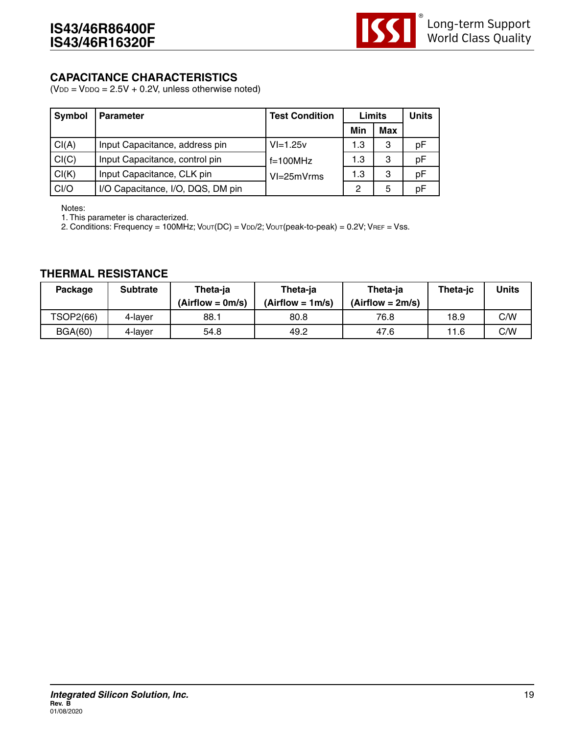

#### **CAPACITANCE CHARACTERISTICS**

 $(VDD = VDDQ = 2.5V + 0.2V$ , unless otherwise noted)

| Symbol | <b>Parameter</b>                  | <b>Test Condition</b> | Limits |            | <b>Units</b> |
|--------|-----------------------------------|-----------------------|--------|------------|--------------|
|        |                                   |                       | Min    | <b>Max</b> |              |
| Cl(A)  | Input Capacitance, address pin    | $VI = 1.25v$          | 1.3    | 3          | рF           |
| Cl(C)  | Input Capacitance, control pin    | $f=100MHz$            | 1.3    | 3          | рF           |
| Cl(K)  | Input Capacitance, CLK pin        | VI=25mVrms            | 1.3    | 3          | pF           |
| CI/O   | I/O Capacitance, I/O, DQS, DM pin |                       | 2      | 5          | рF           |

Notes:

1. This parameter is characterized.

2. Conditions: Frequency = 100MHz; Vout(DC) = VDD/2; Vout(peak-to-peak) = 0.2V; VREF = Vss.

#### **THERMAL RESISTANCE**

| <b>Package</b> | <b>Subtrate</b> | Theta-ja<br>$(Airflow = 0m/s)$ | Theta-ja<br>$(Airflow = 1m/s)$ | Theta-ja<br>$(Airflow = 2m/s)$ | Theta-ic | Units |
|----------------|-----------------|--------------------------------|--------------------------------|--------------------------------|----------|-------|
| TSOP2(66)      | 4-laver         | 88.1                           | 80.8                           | 76.8                           | 18.9     | C/W   |
| <b>BGA(60)</b> | 4-laver         | 54.8                           | 49.2                           | 47.6                           | 11.6     | C/W   |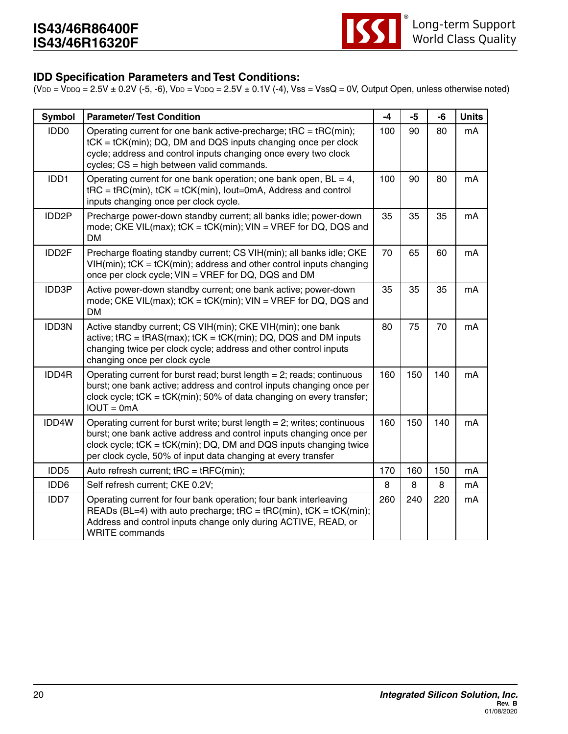

#### **IDD Specification Parameters and Test Conditions:**

 $(VDD = VDDQ = 2.5V + 0.2V (-5, -6), VDD = VDDQ = 2.5V + 0.1V (-4), Vss = VssQ = 0V, Output Open, unless otherwise noted)$ 

| <b>Symbol</b>      | <b>Parameter/Test Condition</b>                                                                                                                                                                                                                                                            | $-4$ | $-5$ | -6  | <b>Units</b> |
|--------------------|--------------------------------------------------------------------------------------------------------------------------------------------------------------------------------------------------------------------------------------------------------------------------------------------|------|------|-----|--------------|
| IDD <sub>0</sub>   | Operating current for one bank active-precharge; $tRC = tRC(min);$<br>tCK = tCK(min); DQ, DM and DQS inputs changing once per clock<br>cycle; address and control inputs changing once every two clock<br>cycles; CS = high between valid commands.                                        | 100  | 90   | 80  | mA           |
| IDD1               | Operating current for one bank operation; one bank open, $BL = 4$ ,<br>$tRC = tRC(min)$ , $tCK = tCK(min)$ , lout=0mA, Address and control<br>inputs changing once per clock cycle.                                                                                                        | 100  | 90   | 80  | mA           |
| IDD <sub>2</sub> P | Precharge power-down standby current; all banks idle; power-down<br>mode; CKE VIL(max); tCK = tCK(min); VIN = VREF for DQ, DQS and<br><b>DM</b>                                                                                                                                            | 35   | 35   | 35  | mA           |
| IDD2F              | Precharge floating standby current; CS VIH(min); all banks idle; CKE<br>$VIH(min);$ tCK = tCK(min); address and other control inputs changing<br>once per clock cycle; VIN = VREF for DQ, DQS and DM                                                                                       | 70   | 65   | 60  | mA           |
| IDD3P              | Active power-down standby current; one bank active; power-down<br>mode; CKE VIL(max); tCK = tCK(min); VIN = VREF for DQ, DQS and<br><b>DM</b>                                                                                                                                              | 35   | 35   | 35  | mA           |
| IDD3N              | Active standby current; CS VIH(min); CKE VIH(min); one bank<br>active; $tRC = tRAS(max)$ ; $tCK = tCK(min)$ ; DQ, DQS and DM inputs<br>changing twice per clock cycle; address and other control inputs<br>changing once per clock cycle                                                   | 80   | 75   | 70  | mA           |
| IDD4R              | Operating current for burst read; burst length $= 2$ ; reads; continuous<br>burst; one bank active; address and control inputs changing once per<br>clock cycle; $tCK = tCK(min)$ ; 50% of data changing on every transfer;<br>$IOUT = 0mA$                                                | 160  | 150  | 140 | mA           |
| IDD4W              | Operating current for burst write; burst length $= 2$ ; writes; continuous<br>burst; one bank active address and control inputs changing once per<br>clock cycle; $tCK = tCK(min)$ ; DQ, DM and DQS inputs changing twice<br>per clock cycle, 50% of input data changing at every transfer | 160  | 150  | 140 | mA           |
| IDD <sub>5</sub>   | Auto refresh current; $tRC = tRFC(min);$                                                                                                                                                                                                                                                   | 170  | 160  | 150 | mA           |
| IDD6               | Self refresh current; CKE 0.2V;                                                                                                                                                                                                                                                            | 8    | 8    | 8   | mA           |
| IDD7               | Operating current for four bank operation; four bank interleaving<br>READs (BL=4) with auto precharge; $tRC = tRC(min)$ , $tCK = tCK(min)$ ;<br>Address and control inputs change only during ACTIVE, READ, or<br><b>WRITE</b> commands                                                    | 260  | 240  | 220 | mA           |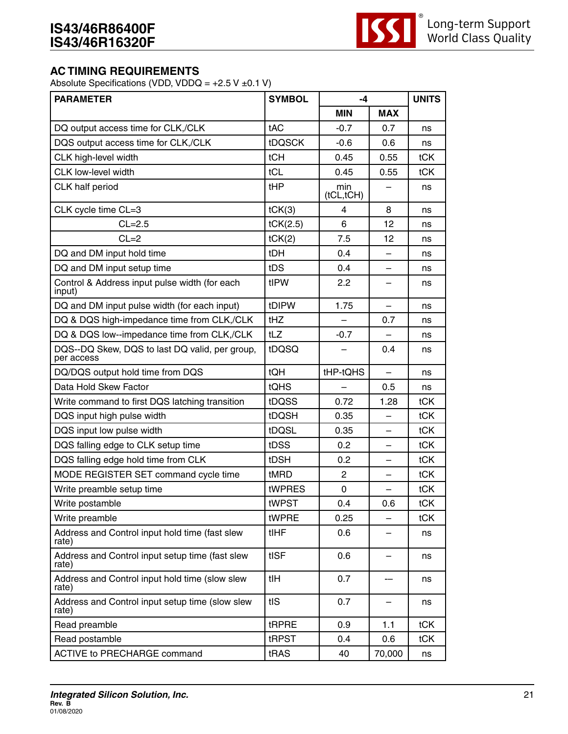

#### **AC TIMING REQUIREMENTS**

Absolute Specifications (VDD, VDDQ =  $+2.5$  V  $\pm$ 0.1 V)

| <b>PARAMETER</b>                                             | <b>SYMBOL</b> | -4                       |                          | <b>UNITS</b> |
|--------------------------------------------------------------|---------------|--------------------------|--------------------------|--------------|
|                                                              |               | <b>MIN</b>               | <b>MAX</b>               |              |
| DQ output access time for CLK,/CLK                           | tAC           | $-0.7$                   | 0.7                      | ns           |
| DQS output access time for CLK,/CLK                          | <b>tDQSCK</b> | $-0.6$                   | 0.6                      | ns           |
| CLK high-level width                                         | tCH           | 0.45                     | 0.55                     | tCK          |
| CLK low-level width                                          | tCL           | 0.45                     | 0.55                     | tCK          |
| CLK half period                                              | tHP           | min<br>(tCL, tCH)        |                          | ns           |
| CLK cycle time CL=3                                          | tCK(3)        | 4                        | 8                        | ns           |
| $CL=2.5$                                                     | tCK(2.5)      | 6                        | 12                       | ns           |
| $CL = 2$                                                     | tCK(2)        | 7.5                      | 12                       | ns           |
| DQ and DM input hold time                                    | tDH           | 0.4                      | $\overline{a}$           | ns           |
| DQ and DM input setup time                                   | tDS           | 0.4                      | $\overline{\phantom{0}}$ | ns           |
| Control & Address input pulse width (for each<br>input)      | tIPW          | 2.2                      |                          | ns           |
| DQ and DM input pulse width (for each input)                 | tDIPW         | 1.75                     |                          | ns           |
| DQ & DQS high-impedance time from CLK,/CLK                   | tHZ           | $\overline{\phantom{0}}$ | 0.7                      | ns           |
| DQ & DQS low--impedance time from CLK,/CLK                   | tLZ           | $-0.7$                   |                          | ns           |
| DQS--DQ Skew, DQS to last DQ valid, per group,<br>per access | tDQSQ         |                          | 0.4                      | ns           |
| DQ/DQS output hold time from DQS                             | <b>tQH</b>    | tHP-tQHS                 |                          | ns           |
| Data Hold Skew Factor                                        | tQHS          |                          | 0.5                      | ns           |
| Write command to first DQS latching transition               | tDQSS         | 0.72                     | 1.28                     | tCK          |
| DQS input high pulse width                                   | tDQSH         | 0.35                     |                          | tCK          |
| DQS input low pulse width                                    | tDQSL         | 0.35                     | —                        | tCK          |
| DQS falling edge to CLK setup time                           | tDSS          | 0.2                      |                          | <b>tCK</b>   |
| DQS falling edge hold time from CLK                          | tDSH          | 0.2                      |                          | tCK          |
| MODE REGISTER SET command cycle time                         | tMRD          | $\mathbf{2}$             |                          | tCK          |
| Write preamble setup time                                    | tWPRES        | 0                        |                          | tCK          |
| Write postamble                                              | tWPST         | 0.4                      | 0.6                      | tCK          |
| Write preamble                                               | tWPRE         | 0.25                     |                          | tCK          |
| Address and Control input hold time (fast slew<br>rate)      | <b>tIHF</b>   | 0.6                      |                          | ns           |
| Address and Control input setup time (fast slew<br>rate)     | tISF          | 0.6                      |                          | ns           |
| Address and Control input hold time (slow slew<br>rate)      | tIH           | 0.7                      |                          | ns           |
| Address and Control input setup time (slow slew<br>rate)     | tIS           | 0.7                      |                          | ns           |
| Read preamble                                                | tRPRE         | 0.9                      | 1.1                      | tCK          |
| Read postamble                                               | tRPST         | 0.4                      | 0.6                      | tCK          |
| <b>ACTIVE to PRECHARGE command</b>                           | tRAS          | 40                       | 70,000                   | ns           |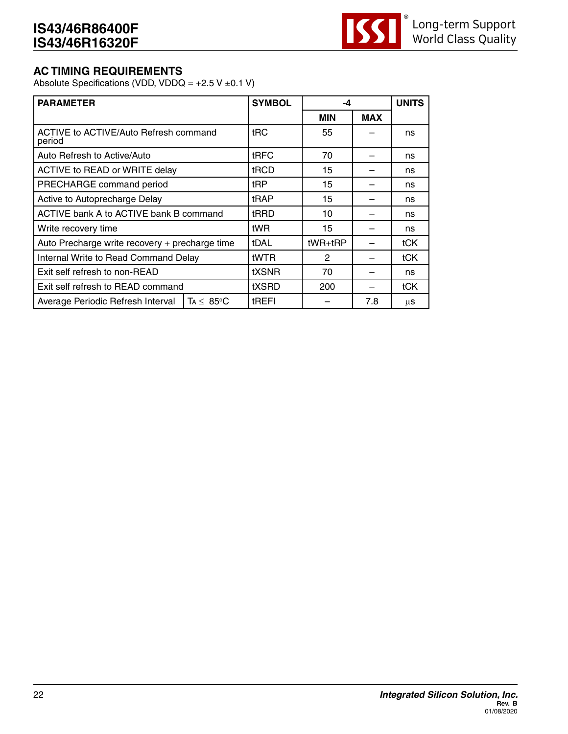

#### **AC TIMING REQUIREMENTS**

Absolute Specifications (VDD, VDDQ =  $+2.5$  V  $\pm$ 0.1 V)

| <b>PARAMETER</b>                                           | <b>SYMBOL</b> | -4         |            | <b>UNITS</b> |
|------------------------------------------------------------|---------------|------------|------------|--------------|
|                                                            |               | <b>MIN</b> | <b>MAX</b> |              |
| <b>ACTIVE to ACTIVE/Auto Refresh command</b><br>period     | tRC           | 55         |            | ns           |
| Auto Refresh to Active/Auto                                | <b>tRFC</b>   | 70         |            | ns           |
| ACTIVE to READ or WRITE delay                              | tRCD          | 15         |            | ns           |
| PRECHARGE command period                                   | tRP           | 15         |            | ns           |
| Active to Autoprecharge Delay                              | tRAP          | 15         |            | ns           |
| ACTIVE bank A to ACTIVE bank B command                     | tRRD          | 10         |            | ns           |
| Write recovery time                                        | tWR           | 15         |            | ns           |
| Auto Precharge write recovery + precharge time             | <b>tDAL</b>   | $tWR+ tRP$ |            | tCK          |
| Internal Write to Read Command Delay                       | <b>IWTR</b>   | 2          |            | tCK          |
| Exit self refresh to non-READ                              | tXSNR         | 70         |            | ns           |
| Exit self refresh to READ command                          | tXSRD         | 200        |            | tCK          |
| $TA \leq 85^{\circ}C$<br>Average Periodic Refresh Interval | tREFI         |            | 7.8        | μS           |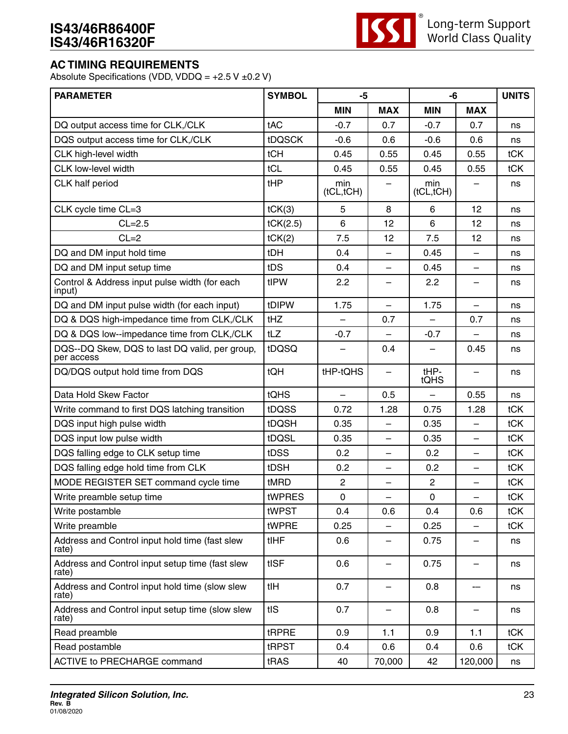# **IS43/46R86400F IS43/46R16320F**



# **AC TIMING REQUIREMENTS**

Absolute Specifications (VDD, VDDQ =  $+2.5$  V  $\pm$ 0.2 V)

| <b>PARAMETER</b>                                             | <b>SYMBOL</b><br>-5<br>-6 |                          |                          | <b>UNITS</b>      |                          |     |
|--------------------------------------------------------------|---------------------------|--------------------------|--------------------------|-------------------|--------------------------|-----|
|                                                              |                           | <b>MIN</b>               | <b>MAX</b>               | <b>MIN</b>        | <b>MAX</b>               |     |
| DQ output access time for CLK,/CLK                           | tAC                       | $-0.7$                   | 0.7                      | $-0.7$            | 0.7                      | ns  |
| DQS output access time for CLK,/CLK                          | <b>tDQSCK</b>             | $-0.6$                   | 0.6                      | $-0.6$            | 0.6                      | ns  |
| CLK high-level width                                         | tCH                       | 0.45                     | 0.55                     | 0.45              | 0.55                     | tCK |
| CLK low-level width                                          | tCL                       | 0.45                     | 0.55                     | 0.45              | 0.55                     | tCK |
| CLK half period                                              | tHP                       | min<br>(tCL, tCH)        |                          | min<br>(tCL, tCH) |                          | ns  |
| CLK cycle time CL=3                                          | tCK(3)                    | 5                        | 8                        | 6                 | 12                       | ns  |
| $CL=2.5$                                                     | tCK(2.5)                  | 6                        | 12                       | 6                 | 12                       | ns  |
| $CL = 2$                                                     | tCK(2)                    | 7.5                      | 12                       | 7.5               | 12                       | ns  |
| DQ and DM input hold time                                    | tDH                       | 0.4                      | $\qquad \qquad -$        | 0.45              | $\equiv$                 | ns  |
| DQ and DM input setup time                                   | tDS                       | 0.4                      | $\overline{\phantom{0}}$ | 0.45              | $\overline{\phantom{0}}$ | ns  |
| Control & Address input pulse width (for each<br>input)      | tIPW                      | 2.2                      |                          | 2.2               |                          | ns  |
| DQ and DM input pulse width (for each input)                 | tDIPW                     | 1.75                     | —                        | 1.75              |                          | ns  |
| DQ & DQS high-impedance time from CLK,/CLK                   | tHZ                       | $\overline{\phantom{0}}$ | 0.7                      | $\equiv$          | 0.7                      | ns  |
| DQ & DQS low--impedance time from CLK,/CLK                   | tLZ                       | $-0.7$                   |                          | $-0.7$            |                          | ns  |
| DQS--DQ Skew, DQS to last DQ valid, per group,<br>per access | tDQSQ                     |                          | 0.4                      |                   | 0.45                     | ns  |
| DQ/DQS output hold time from DQS                             | tQH                       | tHP-tQHS                 | $\overline{\phantom{0}}$ | tHP-<br>tQHS      |                          | ns  |
| Data Hold Skew Factor                                        | tQHS                      |                          | 0.5                      |                   | 0.55                     | ns  |
| Write command to first DQS latching transition               | tDQSS                     | 0.72                     | 1.28                     | 0.75              | 1.28                     | tCK |
| DQS input high pulse width                                   | <b>tDQSH</b>              | 0.35                     |                          | 0.35              | $\overline{\phantom{0}}$ | tCK |
| DQS input low pulse width                                    | tDQSL                     | 0.35                     | —                        | 0.35              |                          | tCK |
| DQS falling edge to CLK setup time                           | tDSS                      | 0.2                      | $\overline{\phantom{0}}$ | 0.2               | $\overline{\phantom{0}}$ | tCK |
| DQS falling edge hold time from CLK                          | tDSH                      | 0.2                      | $\qquad \qquad -$        | 0.2               | —                        | tCK |
| MODE REGISTER SET command cycle time                         | tMRD                      | $\overline{2}$           |                          | $\overline{2}$    |                          | tCK |
| Write preamble setup time                                    | tWPRES                    | $\mathbf 0$              | $\overline{\phantom{0}}$ | $\pmb{0}$         | $\overline{\phantom{0}}$ | tCK |
| Write postamble                                              | tWPST                     | 0.4                      | 0.6                      | 0.4               | 0.6                      | tCK |
| Write preamble                                               | tWPRE                     | 0.25                     |                          | 0.25              |                          | tCK |
| Address and Control input hold time (fast slew<br>rate)      | tIHF                      | 0.6                      | -                        | 0.75              |                          | ns  |
| Address and Control input setup time (fast slew<br>rate)     | tISF                      | 0.6                      | $\overline{\phantom{m}}$ | 0.75              | $\overline{\phantom{m}}$ | ns  |
| Address and Control input hold time (slow slew<br>rate)      | tIH                       | 0.7                      | —                        | 0.8               | --                       | ns  |
| Address and Control input setup time (slow slew<br>rate)     | tIS                       | 0.7                      | -                        | 0.8               | -                        | ns  |
| Read preamble                                                | tRPRE                     | 0.9                      | 1.1                      | 0.9               | 1.1                      | tCK |
| Read postamble                                               | tRPST                     | 0.4                      | 0.6                      | 0.4               | 0.6                      | tCK |
| <b>ACTIVE to PRECHARGE command</b>                           | tRAS                      | 40                       | 70,000                   | 42                | 120,000                  | ns  |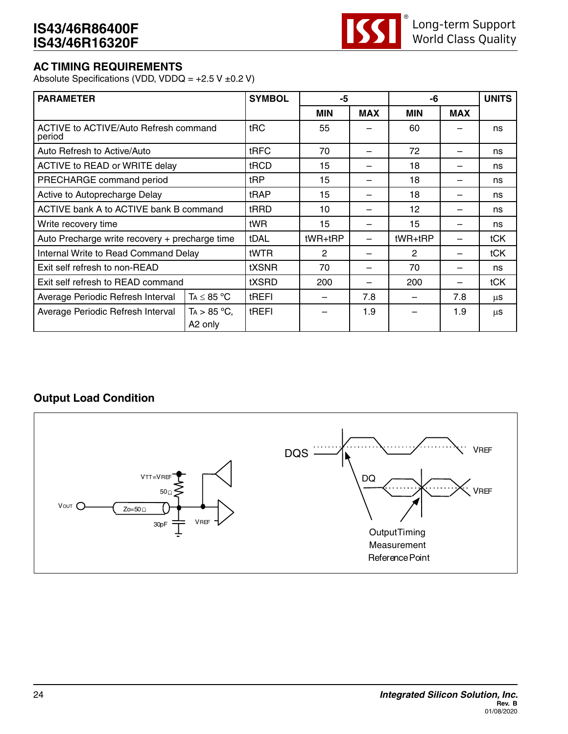

# **AC TIMING REQUIREMENTS**

Absolute Specifications (VDD, VDDQ =  $+2.5$  V  $\pm$ 0.2 V)

| <b>PARAMETER</b>                                |                           | <b>SYMBOL</b> | -5             |            | -6             |            | <b>UNITS</b> |
|-------------------------------------------------|---------------------------|---------------|----------------|------------|----------------|------------|--------------|
|                                                 |                           |               | <b>MIN</b>     | <b>MAX</b> | <b>MIN</b>     | <b>MAX</b> |              |
| ACTIVE to ACTIVE/Auto Refresh command<br>period | t <sub>RC</sub>           | 55            |                | 60         |                | ns         |              |
| Auto Refresh to Active/Auto                     |                           | tRFC          | 70             |            | 72             |            | ns           |
| ACTIVE to READ or WRITE delay                   |                           | tRCD          | 15             |            | 18             |            | ns           |
| PRECHARGE command period                        |                           | tRP           | 15             |            | 18             |            | ns           |
| Active to Autoprecharge Delay                   | tRAP                      | 15            |                | 18         |                | ns         |              |
| ACTIVE bank A to ACTIVE bank B command          |                           | tRRD          | 10             |            | 12             |            | ns           |
| Write recovery time                             |                           | tWR           | 15             |            | 15             |            | ns           |
| Auto Precharge write recovery + precharge time  |                           | tDAL          | tWR+tRP        |            | tWR+tRP        |            | tCK          |
| Internal Write to Read Command Delay            |                           | tWTR          | $\overline{2}$ |            | $\overline{2}$ |            | tCK          |
| Exit self refresh to non-READ                   |                           | tXSNR         | 70             |            | 70             |            | ns           |
| Exit self refresh to READ command               |                           | tXSRD         | 200            |            | 200            |            | tCK          |
| Average Periodic Refresh Interval               | $TA \leq 85 °C$           | tREFI         |                | 7.8        |                | 7.8        | μS           |
| Average Periodic Refresh Interval               | $TA > 85 °C$ ,<br>A2 only | tREFI         |                | 1.9        |                | 1.9        | μS           |

## **Output Load Condition**

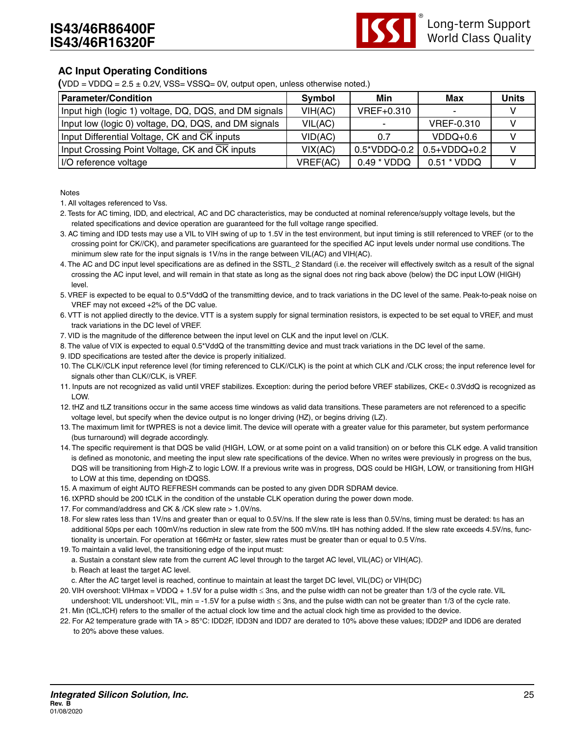

#### **AC Input Operating Conditions**

 $(VDD = VDDQ = 2.5 \pm 0.2V$ ,  $VSS = VSSQ = 0V$ , output open, unless otherwise noted.)

| <b>Parameter/Condition</b>                            | Symbol   | Min         | Max                                    | <b>Units</b> |
|-------------------------------------------------------|----------|-------------|----------------------------------------|--------------|
| Input high (logic 1) voltage, DQ, DQS, and DM signals | VIH(AC)  | VREF+0.310  |                                        |              |
| Input low (logic 0) voltage, DQ, DQS, and DM signals  | VIL(AC)  |             | <b>VREF-0.310</b>                      |              |
| Input Differential Voltage, CK and CK inputs          | VID(AC)  | 0.7         | $VDDO+0.6$                             |              |
| Input Crossing Point Voltage, CK and CK inputs        | VIX(AC)  |             | $0.5^*$ VDDQ-0.2 $\mid 0.5 +$ VDDQ+0.2 |              |
| I/O reference voltage                                 | VREF(AC) | 0.49 * VDDQ | 0.51 * VDDQ                            |              |

**Notes** 

1. All voltages referenced to Vss.

- 2. Tests for AC timing, IDD, and electrical, AC and DC characteristics, may be conducted at nominal reference/supply voltage levels, but the related specifications and device operation are guaranteed for the full voltage range specified.
- 3. AC timing and IDD tests may use a VIL to VIH swing of up to 1.5V in the test environment, but input timing is still referenced to VREF (or to the crossing point for CK//CK), and parameter specifications are guaranteed for the specified AC input levels under normal use conditions. The minimum slew rate for the input signals is 1V/ns in the range between VIL(AC) and VIH(AC).
- 4. The AC and DC input level specifications are as defined in the SSTL\_2 Standard (i.e. the receiver will effectively switch as a result of the signal crossing the AC input level, and will remain in that state as long as the signal does not ring back above (below) the DC input LOW (HIGH) level.
- 5. VREF is expected to be equal to 0.5\*VddQ of the transmitting device, and to track variations in the DC level of the same. Peak-to-peak noise on VREF may not exceed +2% of the DC value.
- 6. VTT is not applied directly to the device. VTT is a system supply for signal termination resistors, is expected to be set equal to VREF, and must track variations in the DC level of VREF.
- 7. VID is the magnitude of the difference between the input level on CLK and the input level on /CLK.
- 8. The value of VIX is expected to equal 0.5\*VddQ of the transmitting device and must track variations in the DC level of the same.
- 9. IDD specifications are tested after the device is properly initialized.
- 10. The CLK//CLK input reference level (for timing referenced to CLK//CLK) is the point at which CLK and /CLK cross; the input reference level for signals other than CLK//CLK, is VREF.
- 11. Inputs are not recognized as valid until VREF stabilizes. Exception: during the period before VREF stabilizes, CKE< 0.3VddQ is recognized as LOW.
- 12. tHZ and tLZ transitions occur in the same access time windows as valid data transitions. These parameters are not referenced to a specific voltage level, but specify when the device output is no longer driving (HZ), or begins driving (LZ).
- 13. The maximum limit for tWPRES is not a device limit. The device will operate with a greater value for this parameter, but system performance (bus turnaround) will degrade accordingly.
- 14. The specific requirement is that DQS be valid (HIGH, LOW, or at some point on a valid transition) on or before this CLK edge. A valid transition is defined as monotonic, and meeting the input slew rate specifications of the device. When no writes were previously in progress on the bus, DQS will be transitioning from High-Z to logic LOW. If a previous write was in progress, DQS could be HIGH, LOW, or transitioning from HIGH to LOW at this time, depending on tDQSS.
- 15. A maximum of eight AUTO REFRESH commands can be posted to any given DDR SDRAM device.
- 16. tXPRD should be 200 tCLK in the condition of the unstable CLK operation during the power down mode.
- 17. For command/address and CK & /CK slew rate > 1.0V/ns.
- 18. For slew rates less than 1V/ns and greater than or equal to 0.5V/ns. If the slew rate is less than 0.5V/ns, timing must be derated: tis has an additional 50ps per each 100mV/ns reduction in slew rate from the 500 mV/ns. tIH has nothing added. If the slew rate exceeds 4.5V/ns, functionality is uncertain. For operation at 166mHz or faster, slew rates must be greater than or equal to 0.5 V/ns.
- 19. To maintain a valid level, the transitioning edge of the input must:
- a. Sustain a constant slew rate from the current AC level through to the target AC level, VIL(AC) or VIH(AC).
- b. Reach at least the target AC level.
- c. After the AC target level is reached, continue to maintain at least the target DC level, VIL(DC) or VIH(DC)
- 20. VIH overshoot: VIHmax = VDDQ + 1.5V for a pulse width ≤ 3ns, and the pulse width can not be greater than 1/3 of the cycle rate. VIL undershoot: VIL undershoot: VIL, min = -1.5V for a pulse width ≤ 3ns, and the pulse width can not be greater than 1/3 of the cycle rate.
- 21. Min (tCL,tCH) refers to the smaller of the actual clock low time and the actual clock high time as provided to the device.
- 22. For A2 temperature grade with TA > 85°C: IDD2F, IDD3N and IDD7 are derated to 10% above these values; IDD2P and IDD6 are derated to 20% above these values.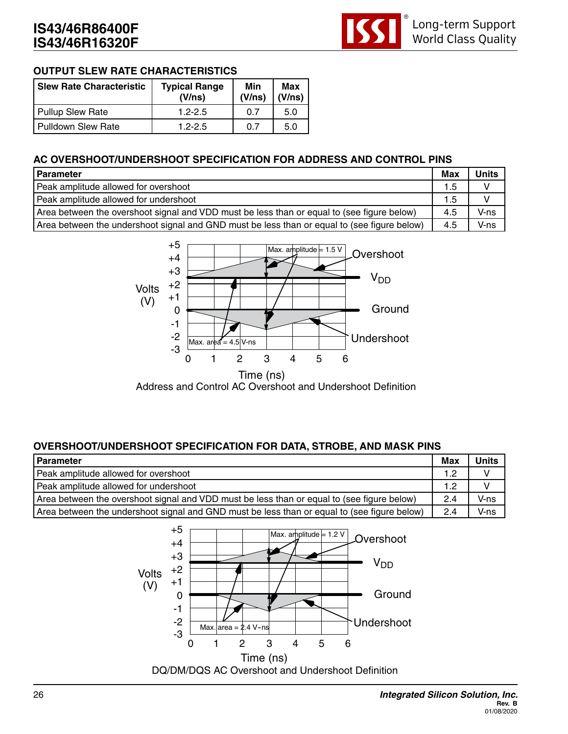

#### **OUTPUT SLEW RATE CHARACTERISTICS**

| Slew Rate Characteristic | <b>Typical Range</b><br>(V/ns) | Min<br>(V/ns) | Max<br>(V/ns) |
|--------------------------|--------------------------------|---------------|---------------|
| Pullup Slew Rate         | $1.2 - 2.5$                    | 0 7           | 5.0           |
| Pulldown Slew Rate       | $1.2 - 2.5$                    | 0.7           | 5.0           |

#### **AC OVERSHOOT/UNDERSHOOT SPECIFICATION FOR ADDRESS AND CONTROL PINS**

| Parameter                                                                                   | Max | <b>Units</b> |
|---------------------------------------------------------------------------------------------|-----|--------------|
| Peak amplitude allowed for overshoot                                                        | 1.5 |              |
| Peak amplitude allowed for undershoot                                                       | 1.5 |              |
| Area between the overshoot signal and VDD must be less than or equal to (see figure below)  | 4.5 | V-ns         |
| Area between the undershoot signal and GND must be less than or equal to (see figure below) | 4.5 | V-ns         |



## **OVERSHOOT/UNDERSHOOT SPECIFICATION FOR DATA, STROBE, AND MASK PINS**

| <b>Parameter</b>                                                                            | <b>Max</b> | <b>Units</b> |
|---------------------------------------------------------------------------------------------|------------|--------------|
| Peak amplitude allowed for overshoot                                                        | 1.2        |              |
| Peak amplitude allowed for undershoot                                                       | 1.2        |              |
| Area between the overshoot signal and VDD must be less than or equal to (see figure below)  | 2.4        | V-ns         |
| Area between the undershoot signal and GND must be less than or equal to (see figure below) | 2.4        | V-ns         |

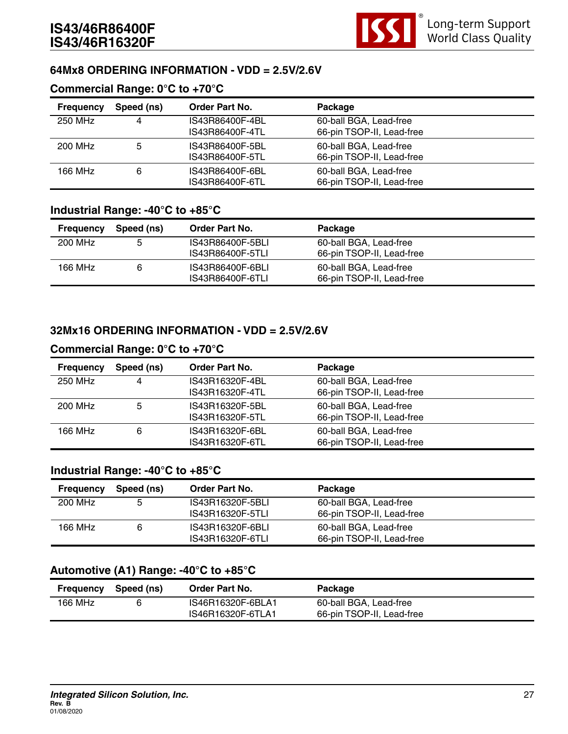

#### **64Mx8 ORDERING INFORMATION - VDD = 2.5V/2.6V**

#### **Commercial Range: 0°C to +70°C**

| <b>Frequency</b> | Speed (ns) | <b>Order Part No.</b> | Package                   |  |
|------------------|------------|-----------------------|---------------------------|--|
| 250 MHz          | 4          | IS43R86400F-4BL       | 60-ball BGA, Lead-free    |  |
|                  |            | IS43R86400F-4TL       | 66-pin TSOP-II, Lead-free |  |
| 200 MHz          | 5          | IS43R86400F-5BL       | 60-ball BGA, Lead-free    |  |
|                  |            | IS43R86400F-5TL       | 66-pin TSOP-II, Lead-free |  |
| 166 MHz          | 6          | IS43R86400F-6BL       | 60-ball BGA, Lead-free    |  |
|                  |            | IS43R86400F-6TL       | 66-pin TSOP-II, Lead-free |  |

#### **Industrial Range: -40°C to +85°C**

| <b>Frequency</b> | Speed (ns) | <b>Order Part No.</b> | Package                   |  |
|------------------|------------|-----------------------|---------------------------|--|
| 200 MHz          | 5          | IS43R86400F-5BLI      | 60-ball BGA, Lead-free    |  |
|                  |            | IS43R86400F-5TLI      | 66-pin TSOP-II, Lead-free |  |
| 166 MHz          |            | IS43R86400F-6BLI      | 60-ball BGA, Lead-free    |  |
|                  |            | IS43R86400F-6TLI      | 66-pin TSOP-II, Lead-free |  |

#### **32Mx16 ORDERING INFORMATION - VDD = 2.5V/2.6V**

#### **Commercial Range: 0°C to +70°C**

| <b>Frequency</b> | Speed (ns) | Order Part No.  | Package                   |
|------------------|------------|-----------------|---------------------------|
| 250 MHz          | -4         | IS43R16320F-4BL | 60-ball BGA, Lead-free    |
|                  |            | IS43R16320F-4TL | 66-pin TSOP-II, Lead-free |
| 200 MHz          | 5          | IS43R16320F-5BL | 60-ball BGA, Lead-free    |
|                  |            | IS43R16320F-5TL | 66-pin TSOP-II, Lead-free |
| 166 MHz          | 6          | IS43R16320F-6BL | 60-ball BGA, Lead-free    |
|                  |            | IS43R16320F-6TL | 66-pin TSOP-II, Lead-free |

## **Industrial Range: -40°C to +85°C**

| <b>Frequency</b> | Speed (ns) | Order Part No.   | Package                   |  |
|------------------|------------|------------------|---------------------------|--|
| 200 MHz          | 5          | IS43R16320F-5BLI | 60-ball BGA, Lead-free    |  |
|                  |            | IS43R16320F-5TLI | 66-pin TSOP-II, Lead-free |  |
| 166 MHz          |            | IS43R16320F-6BLI | 60-ball BGA, Lead-free    |  |
|                  |            | IS43R16320F-6TLI | 66-pin TSOP-II, Lead-free |  |

#### **Automotive (A1) Range: -40°C to +85°C**

| Frequency | Speed (ns) | <b>Order Part No.</b> | Package                   |  |
|-----------|------------|-----------------------|---------------------------|--|
| 166 MHz   |            | IS46R16320F-6BLA1     | 60-ball BGA, Lead-free    |  |
|           |            | IS46R16320F-6TLA1     | 66-pin TSOP-II, Lead-free |  |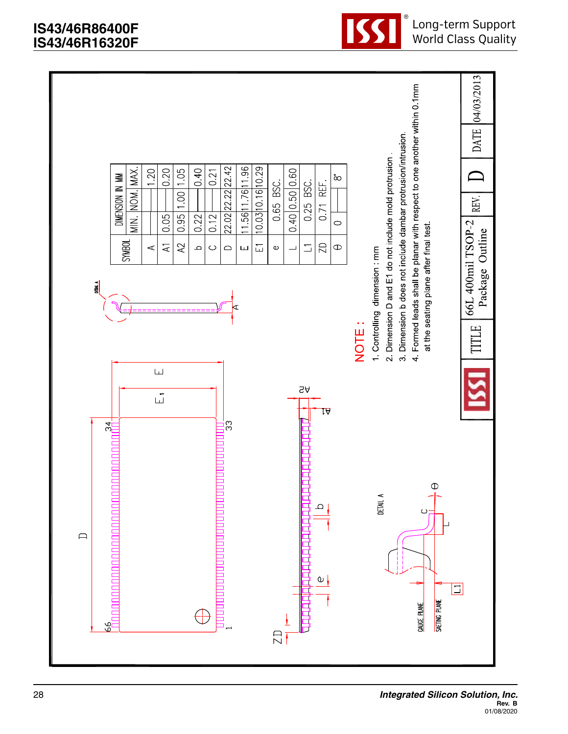

®